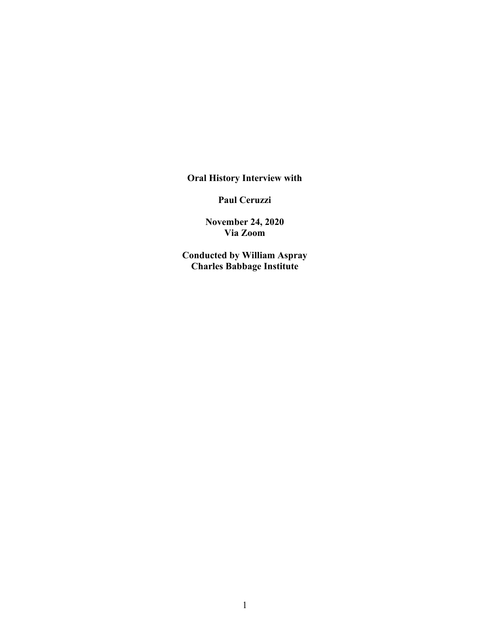**Oral History Interview with** 

**Paul Ceruzzi**

**November 24, 2020 Via Zoom**

**Conducted by William Aspray Charles Babbage Institute**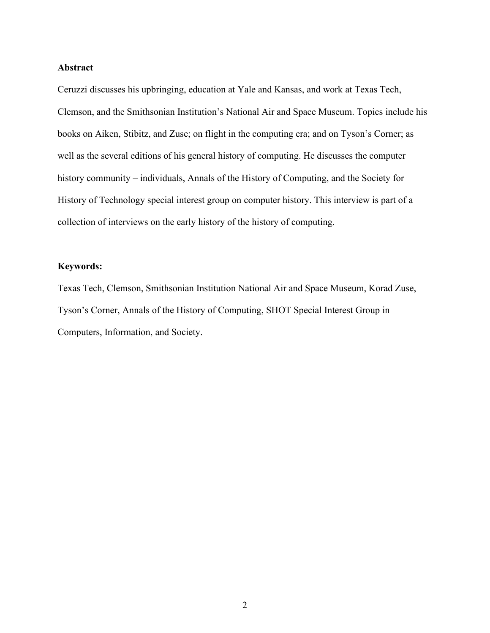## **Abstract**

Ceruzzi discusses his upbringing, education at Yale and Kansas, and work at Texas Tech, Clemson, and the Smithsonian Institution's National Air and Space Museum. Topics include his books on Aiken, Stibitz, and Zuse; on flight in the computing era; and on Tyson's Corner; as well as the several editions of his general history of computing. He discusses the computer history community – individuals, Annals of the History of Computing, and the Society for History of Technology special interest group on computer history. This interview is part of a collection of interviews on the early history of the history of computing.

## **Keywords:**

Texas Tech, Clemson, Smithsonian Institution National Air and Space Museum, Korad Zuse, Tyson's Corner, Annals of the History of Computing, SHOT Special Interest Group in Computers, Information, and Society.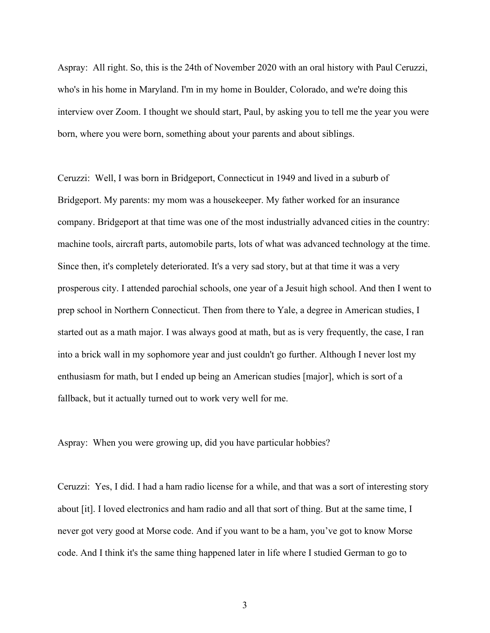Aspray: All right. So, this is the 24th of November 2020 with an oral history with Paul Ceruzzi, who's in his home in Maryland. I'm in my home in Boulder, Colorado, and we're doing this interview over Zoom. I thought we should start, Paul, by asking you to tell me the year you were born, where you were born, something about your parents and about siblings.

Ceruzzi: Well, I was born in Bridgeport, Connecticut in 1949 and lived in a suburb of Bridgeport. My parents: my mom was a housekeeper. My father worked for an insurance company. Bridgeport at that time was one of the most industrially advanced cities in the country: machine tools, aircraft parts, automobile parts, lots of what was advanced technology at the time. Since then, it's completely deteriorated. It's a very sad story, but at that time it was a very prosperous city. I attended parochial schools, one year of a Jesuit high school. And then I went to prep school in Northern Connecticut. Then from there to Yale, a degree in American studies, I started out as a math major. I was always good at math, but as is very frequently, the case, I ran into a brick wall in my sophomore year and just couldn't go further. Although I never lost my enthusiasm for math, but I ended up being an American studies [major], which is sort of a fallback, but it actually turned out to work very well for me.

Aspray: When you were growing up, did you have particular hobbies?

Ceruzzi: Yes, I did. I had a ham radio license for a while, and that was a sort of interesting story about [it]. I loved electronics and ham radio and all that sort of thing. But at the same time, I never got very good at Morse code. And if you want to be a ham, you've got to know Morse code. And I think it's the same thing happened later in life where I studied German to go to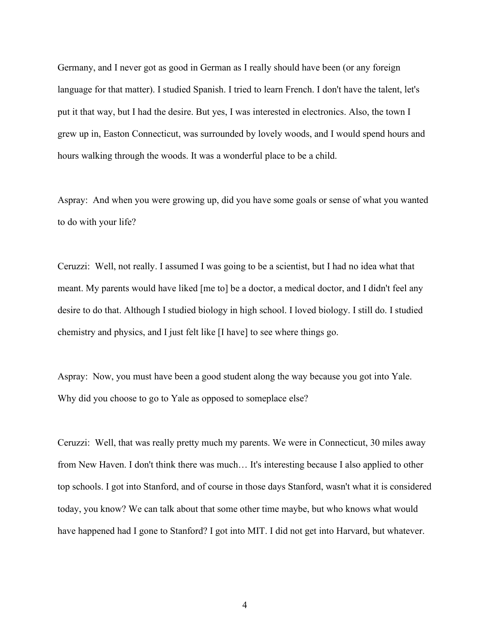Germany, and I never got as good in German as I really should have been (or any foreign language for that matter). I studied Spanish. I tried to learn French. I don't have the talent, let's put it that way, but I had the desire. But yes, I was interested in electronics. Also, the town I grew up in, Easton Connecticut, was surrounded by lovely woods, and I would spend hours and hours walking through the woods. It was a wonderful place to be a child.

Aspray: And when you were growing up, did you have some goals or sense of what you wanted to do with your life?

Ceruzzi: Well, not really. I assumed I was going to be a scientist, but I had no idea what that meant. My parents would have liked [me to] be a doctor, a medical doctor, and I didn't feel any desire to do that. Although I studied biology in high school. I loved biology. I still do. I studied chemistry and physics, and I just felt like [I have] to see where things go.

Aspray: Now, you must have been a good student along the way because you got into Yale. Why did you choose to go to Yale as opposed to someplace else?

Ceruzzi: Well, that was really pretty much my parents. We were in Connecticut, 30 miles away from New Haven. I don't think there was much… It's interesting because I also applied to other top schools. I got into Stanford, and of course in those days Stanford, wasn't what it is considered today, you know? We can talk about that some other time maybe, but who knows what would have happened had I gone to Stanford? I got into MIT. I did not get into Harvard, but whatever.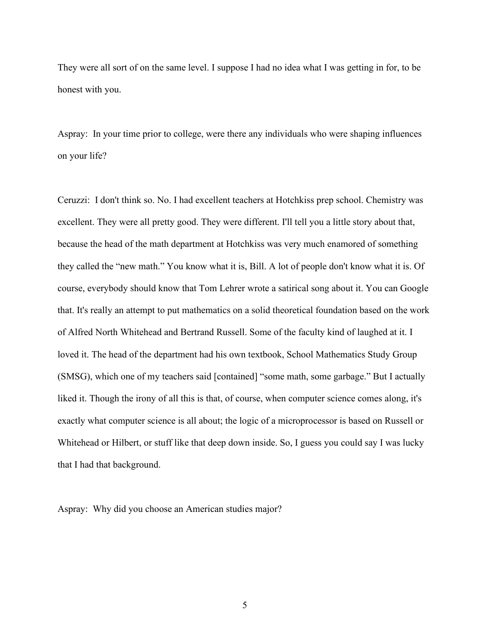They were all sort of on the same level. I suppose I had no idea what I was getting in for, to be honest with you.

Aspray: In your time prior to college, were there any individuals who were shaping influences on your life?

Ceruzzi: I don't think so. No. I had excellent teachers at Hotchkiss prep school. Chemistry was excellent. They were all pretty good. They were different. I'll tell you a little story about that, because the head of the math department at Hotchkiss was very much enamored of something they called the "new math." You know what it is, Bill. A lot of people don't know what it is. Of course, everybody should know that Tom Lehrer wrote a satirical song about it. You can Google that. It's really an attempt to put mathematics on a solid theoretical foundation based on the work of Alfred North Whitehead and Bertrand Russell. Some of the faculty kind of laughed at it. I loved it. The head of the department had his own textbook, School Mathematics Study Group (SMSG), which one of my teachers said [contained] "some math, some garbage." But I actually liked it. Though the irony of all this is that, of course, when computer science comes along, it's exactly what computer science is all about; the logic of a microprocessor is based on Russell or Whitehead or Hilbert, or stuff like that deep down inside. So, I guess you could say I was lucky that I had that background.

Aspray: Why did you choose an American studies major?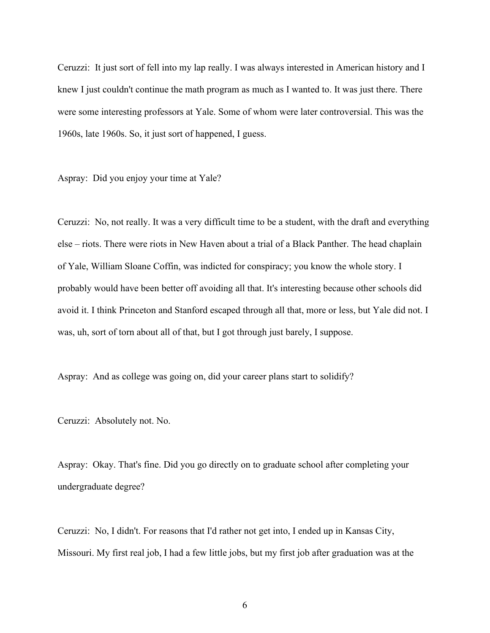Ceruzzi: It just sort of fell into my lap really. I was always interested in American history and I knew I just couldn't continue the math program as much as I wanted to. It was just there. There were some interesting professors at Yale. Some of whom were later controversial. This was the 1960s, late 1960s. So, it just sort of happened, I guess.

Aspray: Did you enjoy your time at Yale?

Ceruzzi: No, not really. It was a very difficult time to be a student, with the draft and everything else – riots. There were riots in New Haven about a trial of a Black Panther. The head chaplain of Yale, William Sloane Coffin, was indicted for conspiracy; you know the whole story. I probably would have been better off avoiding all that. It's interesting because other schools did avoid it. I think Princeton and Stanford escaped through all that, more or less, but Yale did not. I was, uh, sort of torn about all of that, but I got through just barely, I suppose.

Aspray: And as college was going on, did your career plans start to solidify?

Ceruzzi: Absolutely not. No.

Aspray: Okay. That's fine. Did you go directly on to graduate school after completing your undergraduate degree?

Ceruzzi: No, I didn't. For reasons that I'd rather not get into, I ended up in Kansas City, Missouri. My first real job, I had a few little jobs, but my first job after graduation was at the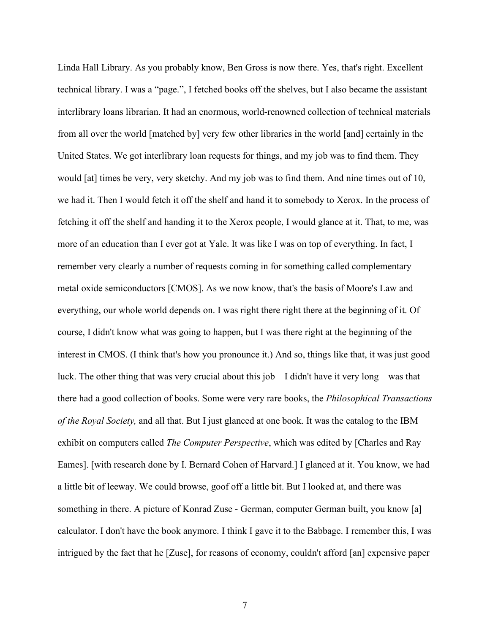Linda Hall Library. As you probably know, Ben Gross is now there. Yes, that's right. Excellent technical library. I was a "page.", I fetched books off the shelves, but I also became the assistant interlibrary loans librarian. It had an enormous, world-renowned collection of technical materials from all over the world [matched by] very few other libraries in the world [and] certainly in the United States. We got interlibrary loan requests for things, and my job was to find them. They would [at] times be very, very sketchy. And my job was to find them. And nine times out of 10, we had it. Then I would fetch it off the shelf and hand it to somebody to Xerox. In the process of fetching it off the shelf and handing it to the Xerox people, I would glance at it. That, to me, was more of an education than I ever got at Yale. It was like I was on top of everything. In fact, I remember very clearly a number of requests coming in for something called complementary metal oxide semiconductors [CMOS]. As we now know, that's the basis of Moore's Law and everything, our whole world depends on. I was right there right there at the beginning of it. Of course, I didn't know what was going to happen, but I was there right at the beginning of the interest in CMOS. (I think that's how you pronounce it.) And so, things like that, it was just good luck. The other thing that was very crucial about this job – I didn't have it very long – was that there had a good collection of books. Some were very rare books, the *Philosophical Transactions of the Royal Society,* and all that. But I just glanced at one book. It was the catalog to the IBM exhibit on computers called *The Computer Perspective*, which was edited by [Charles and Ray Eames]. [with research done by I. Bernard Cohen of Harvard.] I glanced at it. You know, we had a little bit of leeway. We could browse, goof off a little bit. But I looked at, and there was something in there. A picture of Konrad Zuse - German, computer German built, you know [a] calculator. I don't have the book anymore. I think I gave it to the Babbage. I remember this, I was intrigued by the fact that he [Zuse], for reasons of economy, couldn't afford [an] expensive paper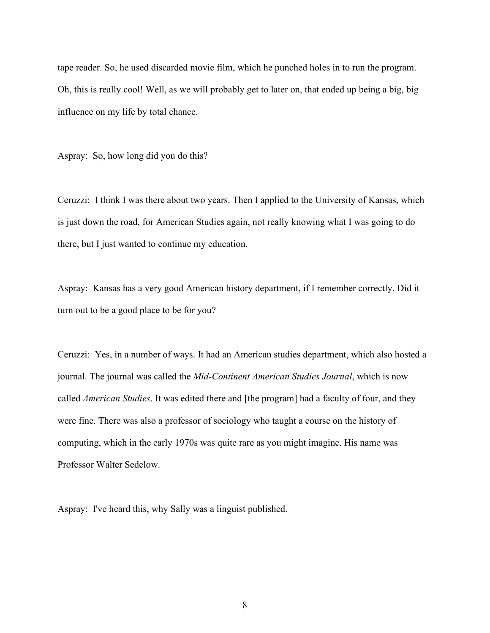tape reader. So, he used discarded movie film, which he punched holes in to run the program. Oh, this is really cool! Well, as we will probably get to later on, that ended up being a big, big influence on my life by total chance.

Aspray: So, how long did you do this?

Ceruzzi: I think I was there about two years. Then I applied to the University of Kansas, which is just down the road, for American Studies again, not really knowing what I was going to do there, but I just wanted to continue my education.

Aspray: Kansas has a very good American history department, if I remember correctly. Did it turn out to be a good place to be for you?

Ceruzzi: Yes, in a number of ways. It had an American studies department, which also hosted a journal. The journal was called the *Mid-Continent American Studies Journal*, which is now called *American Studies*. It was edited there and [the program] had a faculty of four, and they were fine. There was also a professor of sociology who taught a course on the history of computing, which in the early 1970s was quite rare as you might imagine. His name was Professor Walter Sedelow.

Aspray: I've heard this, why Sally was a linguist published.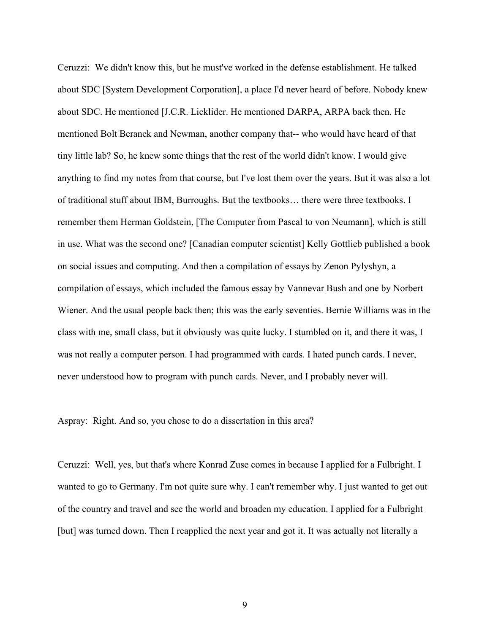Ceruzzi: We didn't know this, but he must've worked in the defense establishment. He talked about SDC [System Development Corporation], a place I'd never heard of before. Nobody knew about SDC. He mentioned [J.C.R. Licklider. He mentioned DARPA, ARPA back then. He mentioned Bolt Beranek and Newman, another company that-- who would have heard of that tiny little lab? So, he knew some things that the rest of the world didn't know. I would give anything to find my notes from that course, but I've lost them over the years. But it was also a lot of traditional stuff about IBM, Burroughs. But the textbooks… there were three textbooks. I remember them Herman Goldstein, [The Computer from Pascal to von Neumann], which is still in use. What was the second one? [Canadian computer scientist] Kelly Gottlieb published a book on social issues and computing. And then a compilation of essays by Zenon Pylyshyn, a compilation of essays, which included the famous essay by Vannevar Bush and one by Norbert Wiener. And the usual people back then; this was the early seventies. Bernie Williams was in the class with me, small class, but it obviously was quite lucky. I stumbled on it, and there it was, I was not really a computer person. I had programmed with cards. I hated punch cards. I never, never understood how to program with punch cards. Never, and I probably never will.

Aspray: Right. And so, you chose to do a dissertation in this area?

Ceruzzi: Well, yes, but that's where Konrad Zuse comes in because I applied for a Fulbright. I wanted to go to Germany. I'm not quite sure why. I can't remember why. I just wanted to get out of the country and travel and see the world and broaden my education. I applied for a Fulbright [but] was turned down. Then I reapplied the next year and got it. It was actually not literally a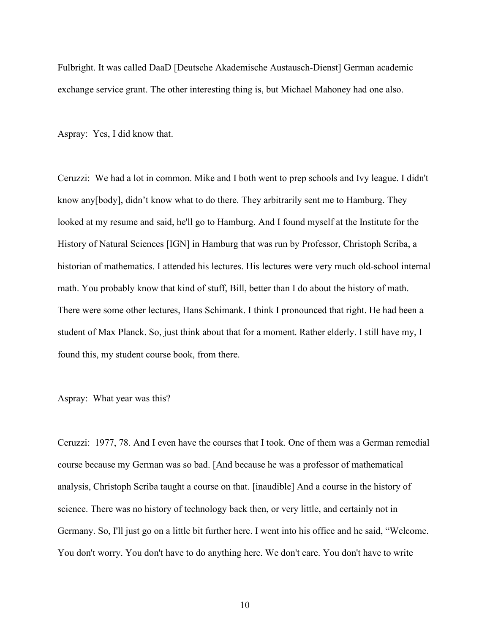Fulbright. It was called DaaD [Deutsche Akademische Austausch-Dienst] German academic exchange service grant. The other interesting thing is, but Michael Mahoney had one also.

Aspray: Yes, I did know that.

Ceruzzi: We had a lot in common. Mike and I both went to prep schools and Ivy league. I didn't know any[body], didn't know what to do there. They arbitrarily sent me to Hamburg. They looked at my resume and said, he'll go to Hamburg. And I found myself at the Institute for the History of Natural Sciences [IGN] in Hamburg that was run by Professor, Christoph Scriba, a historian of mathematics. I attended his lectures. His lectures were very much old-school internal math. You probably know that kind of stuff, Bill, better than I do about the history of math. There were some other lectures, Hans Schimank. I think I pronounced that right. He had been a student of Max Planck. So, just think about that for a moment. Rather elderly. I still have my, I found this, my student course book, from there.

## Aspray: What year was this?

Ceruzzi: 1977, 78. And I even have the courses that I took. One of them was a German remedial course because my German was so bad. [And because he was a professor of mathematical analysis, Christoph Scriba taught a course on that. [inaudible] And a course in the history of science. There was no history of technology back then, or very little, and certainly not in Germany. So, I'll just go on a little bit further here. I went into his office and he said, "Welcome. You don't worry. You don't have to do anything here. We don't care. You don't have to write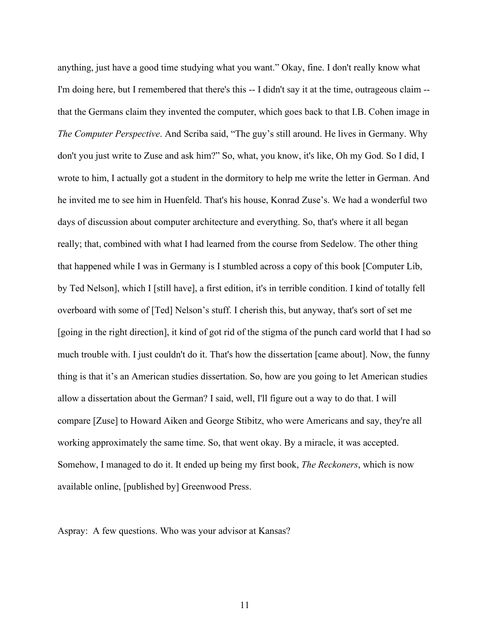anything, just have a good time studying what you want." Okay, fine. I don't really know what I'm doing here, but I remembered that there's this -- I didn't say it at the time, outrageous claim - that the Germans claim they invented the computer, which goes back to that I.B. Cohen image in *The Computer Perspective*. And Scriba said, "The guy's still around. He lives in Germany. Why don't you just write to Zuse and ask him?" So, what, you know, it's like, Oh my God. So I did, I wrote to him, I actually got a student in the dormitory to help me write the letter in German. And he invited me to see him in Huenfeld. That's his house, Konrad Zuse's. We had a wonderful two days of discussion about computer architecture and everything. So, that's where it all began really; that, combined with what I had learned from the course from Sedelow. The other thing that happened while I was in Germany is I stumbled across a copy of this book [Computer Lib, by Ted Nelson], which I [still have], a first edition, it's in terrible condition. I kind of totally fell overboard with some of [Ted] Nelson's stuff. I cherish this, but anyway, that's sort of set me [going in the right direction], it kind of got rid of the stigma of the punch card world that I had so much trouble with. I just couldn't do it. That's how the dissertation [came about]. Now, the funny thing is that it's an American studies dissertation. So, how are you going to let American studies allow a dissertation about the German? I said, well, I'll figure out a way to do that. I will compare [Zuse] to Howard Aiken and George Stibitz, who were Americans and say, they're all working approximately the same time. So, that went okay. By a miracle, it was accepted. Somehow, I managed to do it. It ended up being my first book, *The Reckoners*, which is now available online, [published by] Greenwood Press.

Aspray: A few questions. Who was your advisor at Kansas?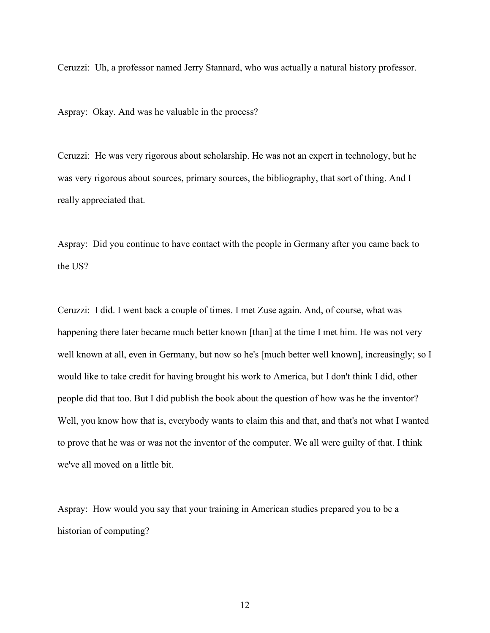Ceruzzi: Uh, a professor named Jerry Stannard, who was actually a natural history professor.

Aspray: Okay. And was he valuable in the process?

Ceruzzi: He was very rigorous about scholarship. He was not an expert in technology, but he was very rigorous about sources, primary sources, the bibliography, that sort of thing. And I really appreciated that.

Aspray: Did you continue to have contact with the people in Germany after you came back to the US?

Ceruzzi: I did. I went back a couple of times. I met Zuse again. And, of course, what was happening there later became much better known [than] at the time I met him. He was not very well known at all, even in Germany, but now so he's [much better well known], increasingly; so I would like to take credit for having brought his work to America, but I don't think I did, other people did that too. But I did publish the book about the question of how was he the inventor? Well, you know how that is, everybody wants to claim this and that, and that's not what I wanted to prove that he was or was not the inventor of the computer. We all were guilty of that. I think we've all moved on a little bit.

Aspray: How would you say that your training in American studies prepared you to be a historian of computing?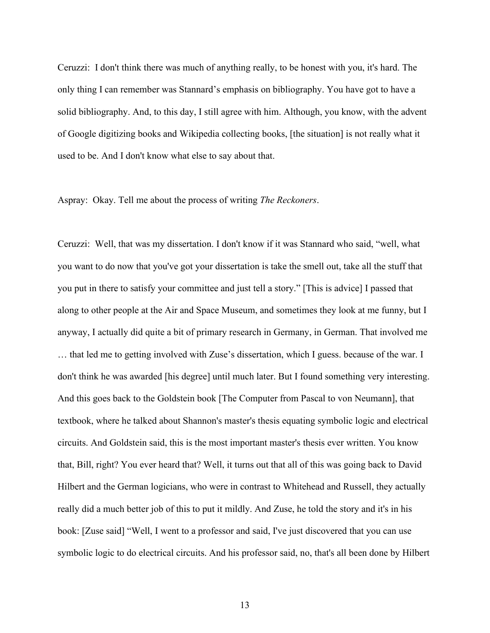Ceruzzi: I don't think there was much of anything really, to be honest with you, it's hard. The only thing I can remember was Stannard's emphasis on bibliography. You have got to have a solid bibliography. And, to this day, I still agree with him. Although, you know, with the advent of Google digitizing books and Wikipedia collecting books, [the situation] is not really what it used to be. And I don't know what else to say about that.

Aspray: Okay. Tell me about the process of writing *The Reckoners*.

Ceruzzi: Well, that was my dissertation. I don't know if it was Stannard who said, "well, what you want to do now that you've got your dissertation is take the smell out, take all the stuff that you put in there to satisfy your committee and just tell a story." [This is advice] I passed that along to other people at the Air and Space Museum, and sometimes they look at me funny, but I anyway, I actually did quite a bit of primary research in Germany, in German. That involved me … that led me to getting involved with Zuse's dissertation, which I guess. because of the war. I don't think he was awarded [his degree] until much later. But I found something very interesting. And this goes back to the Goldstein book [The Computer from Pascal to von Neumann], that textbook, where he talked about Shannon's master's thesis equating symbolic logic and electrical circuits. And Goldstein said, this is the most important master's thesis ever written. You know that, Bill, right? You ever heard that? Well, it turns out that all of this was going back to David Hilbert and the German logicians, who were in contrast to Whitehead and Russell, they actually really did a much better job of this to put it mildly. And Zuse, he told the story and it's in his book: [Zuse said] "Well, I went to a professor and said, I've just discovered that you can use symbolic logic to do electrical circuits. And his professor said, no, that's all been done by Hilbert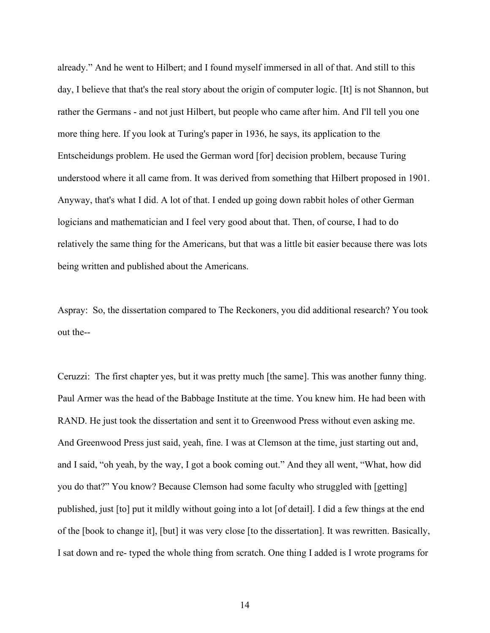already." And he went to Hilbert; and I found myself immersed in all of that. And still to this day, I believe that that's the real story about the origin of computer logic. [It] is not Shannon, but rather the Germans - and not just Hilbert, but people who came after him. And I'll tell you one more thing here. If you look at Turing's paper in 1936, he says, its application to the Entscheidungs problem. He used the German word [for] decision problem, because Turing understood where it all came from. It was derived from something that Hilbert proposed in 1901. Anyway, that's what I did. A lot of that. I ended up going down rabbit holes of other German logicians and mathematician and I feel very good about that. Then, of course, I had to do relatively the same thing for the Americans, but that was a little bit easier because there was lots being written and published about the Americans.

Aspray: So, the dissertation compared to The Reckoners, you did additional research? You took out the--

Ceruzzi: The first chapter yes, but it was pretty much [the same]. This was another funny thing. Paul Armer was the head of the Babbage Institute at the time. You knew him. He had been with RAND. He just took the dissertation and sent it to Greenwood Press without even asking me. And Greenwood Press just said, yeah, fine. I was at Clemson at the time, just starting out and, and I said, "oh yeah, by the way, I got a book coming out." And they all went, "What, how did you do that?" You know? Because Clemson had some faculty who struggled with [getting] published, just [to] put it mildly without going into a lot [of detail]. I did a few things at the end of the [book to change it], [but] it was very close [to the dissertation]. It was rewritten. Basically, I sat down and re- typed the whole thing from scratch. One thing I added is I wrote programs for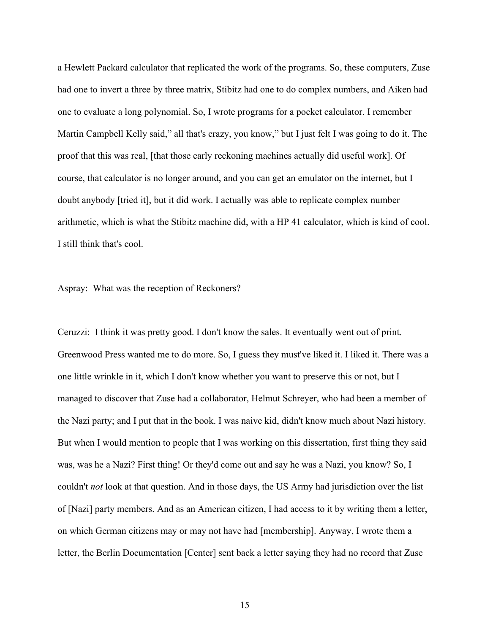a Hewlett Packard calculator that replicated the work of the programs. So, these computers, Zuse had one to invert a three by three matrix, Stibitz had one to do complex numbers, and Aiken had one to evaluate a long polynomial. So, I wrote programs for a pocket calculator. I remember Martin Campbell Kelly said," all that's crazy, you know," but I just felt I was going to do it. The proof that this was real, [that those early reckoning machines actually did useful work]. Of course, that calculator is no longer around, and you can get an emulator on the internet, but I doubt anybody [tried it], but it did work. I actually was able to replicate complex number arithmetic, which is what the Stibitz machine did, with a HP 41 calculator, which is kind of cool. I still think that's cool.

Aspray: What was the reception of Reckoners?

Ceruzzi: I think it was pretty good. I don't know the sales. It eventually went out of print. Greenwood Press wanted me to do more. So, I guess they must've liked it. I liked it. There was a one little wrinkle in it, which I don't know whether you want to preserve this or not, but I managed to discover that Zuse had a collaborator, Helmut Schreyer, who had been a member of the Nazi party; and I put that in the book. I was naive kid, didn't know much about Nazi history. But when I would mention to people that I was working on this dissertation, first thing they said was, was he a Nazi? First thing! Or they'd come out and say he was a Nazi, you know? So, I couldn't *not* look at that question. And in those days, the US Army had jurisdiction over the list of [Nazi] party members. And as an American citizen, I had access to it by writing them a letter, on which German citizens may or may not have had [membership]. Anyway, I wrote them a letter, the Berlin Documentation [Center] sent back a letter saying they had no record that Zuse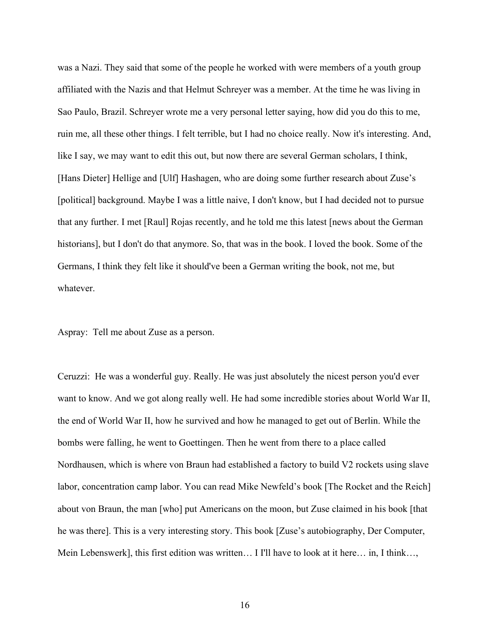was a Nazi. They said that some of the people he worked with were members of a youth group affiliated with the Nazis and that Helmut Schreyer was a member. At the time he was living in Sao Paulo, Brazil. Schreyer wrote me a very personal letter saying, how did you do this to me, ruin me, all these other things. I felt terrible, but I had no choice really. Now it's interesting. And, like I say, we may want to edit this out, but now there are several German scholars, I think, [Hans Dieter] Hellige and [Ulf] Hashagen, who are doing some further research about Zuse's [political] background. Maybe I was a little naive, I don't know, but I had decided not to pursue that any further. I met [Raul] Rojas recently, and he told me this latest [news about the German historians], but I don't do that anymore. So, that was in the book. I loved the book. Some of the Germans, I think they felt like it should've been a German writing the book, not me, but whatever.

Aspray: Tell me about Zuse as a person.

Ceruzzi: He was a wonderful guy. Really. He was just absolutely the nicest person you'd ever want to know. And we got along really well. He had some incredible stories about World War II, the end of World War II, how he survived and how he managed to get out of Berlin. While the bombs were falling, he went to Goettingen. Then he went from there to a place called Nordhausen, which is where von Braun had established a factory to build V2 rockets using slave labor, concentration camp labor. You can read Mike Newfeld's book [The Rocket and the Reich] about von Braun, the man [who] put Americans on the moon, but Zuse claimed in his book [that he was there]. This is a very interesting story. This book [Zuse's autobiography, Der Computer, Mein Lebenswerk], this first edition was written… I I'll have to look at it here… in, I think…,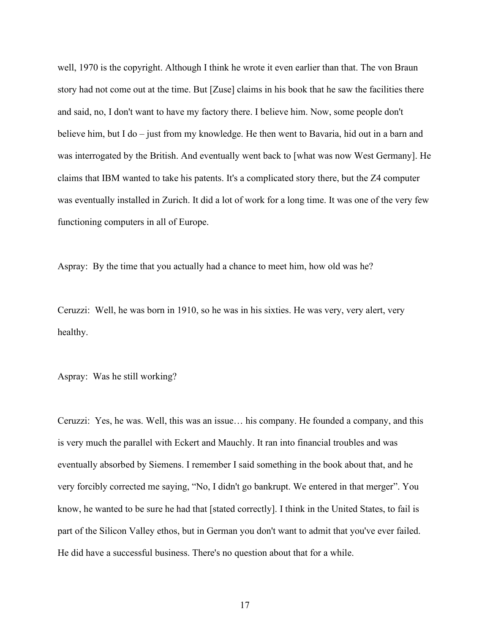well, 1970 is the copyright. Although I think he wrote it even earlier than that. The von Braun story had not come out at the time. But [Zuse] claims in his book that he saw the facilities there and said, no, I don't want to have my factory there. I believe him. Now, some people don't believe him, but I do – just from my knowledge. He then went to Bavaria, hid out in a barn and was interrogated by the British. And eventually went back to [what was now West Germany]. He claims that IBM wanted to take his patents. It's a complicated story there, but the Z4 computer was eventually installed in Zurich. It did a lot of work for a long time. It was one of the very few functioning computers in all of Europe.

Aspray: By the time that you actually had a chance to meet him, how old was he?

Ceruzzi: Well, he was born in 1910, so he was in his sixties. He was very, very alert, very healthy.

Aspray: Was he still working?

Ceruzzi: Yes, he was. Well, this was an issue… his company. He founded a company, and this is very much the parallel with Eckert and Mauchly. It ran into financial troubles and was eventually absorbed by Siemens. I remember I said something in the book about that, and he very forcibly corrected me saying, "No, I didn't go bankrupt. We entered in that merger". You know, he wanted to be sure he had that [stated correctly]. I think in the United States, to fail is part of the Silicon Valley ethos, but in German you don't want to admit that you've ever failed. He did have a successful business. There's no question about that for a while.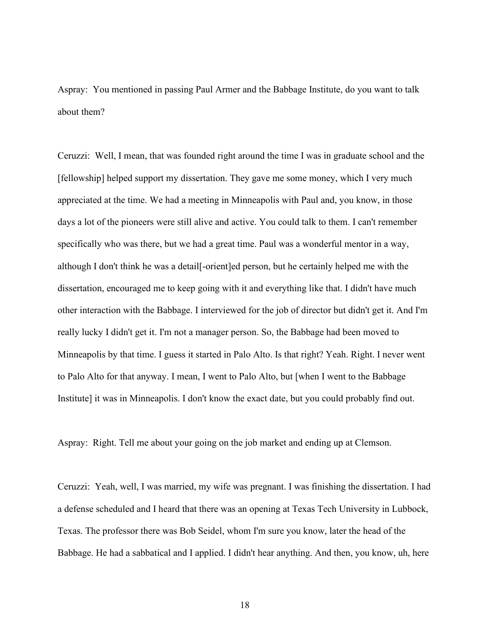Aspray: You mentioned in passing Paul Armer and the Babbage Institute, do you want to talk about them?

Ceruzzi: Well, I mean, that was founded right around the time I was in graduate school and the [fellowship] helped support my dissertation. They gave me some money, which I very much appreciated at the time. We had a meeting in Minneapolis with Paul and, you know, in those days a lot of the pioneers were still alive and active. You could talk to them. I can't remember specifically who was there, but we had a great time. Paul was a wonderful mentor in a way, although I don't think he was a detail[-orient]ed person, but he certainly helped me with the dissertation, encouraged me to keep going with it and everything like that. I didn't have much other interaction with the Babbage. I interviewed for the job of director but didn't get it. And I'm really lucky I didn't get it. I'm not a manager person. So, the Babbage had been moved to Minneapolis by that time. I guess it started in Palo Alto. Is that right? Yeah. Right. I never went to Palo Alto for that anyway. I mean, I went to Palo Alto, but [when I went to the Babbage Institute] it was in Minneapolis. I don't know the exact date, but you could probably find out.

Aspray: Right. Tell me about your going on the job market and ending up at Clemson.

Ceruzzi: Yeah, well, I was married, my wife was pregnant. I was finishing the dissertation. I had a defense scheduled and I heard that there was an opening at Texas Tech University in Lubbock, Texas. The professor there was Bob Seidel, whom I'm sure you know, later the head of the Babbage. He had a sabbatical and I applied. I didn't hear anything. And then, you know, uh, here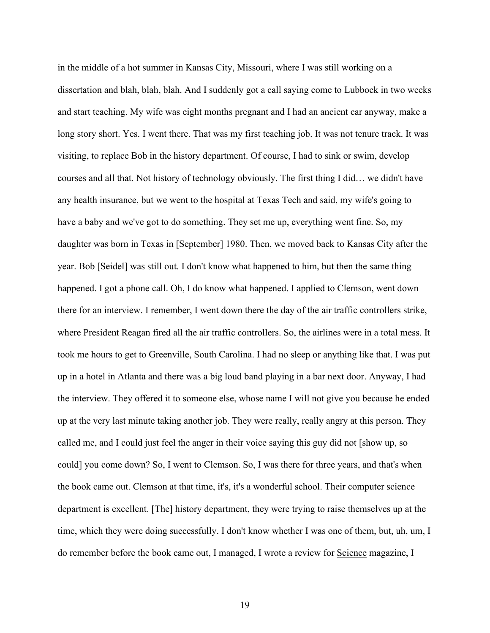in the middle of a hot summer in Kansas City, Missouri, where I was still working on a dissertation and blah, blah, blah. And I suddenly got a call saying come to Lubbock in two weeks and start teaching. My wife was eight months pregnant and I had an ancient car anyway, make a long story short. Yes. I went there. That was my first teaching job. It was not tenure track. It was visiting, to replace Bob in the history department. Of course, I had to sink or swim, develop courses and all that. Not history of technology obviously. The first thing I did… we didn't have any health insurance, but we went to the hospital at Texas Tech and said, my wife's going to have a baby and we've got to do something. They set me up, everything went fine. So, my daughter was born in Texas in [September] 1980. Then, we moved back to Kansas City after the year. Bob [Seidel] was still out. I don't know what happened to him, but then the same thing happened. I got a phone call. Oh, I do know what happened. I applied to Clemson, went down there for an interview. I remember, I went down there the day of the air traffic controllers strike, where President Reagan fired all the air traffic controllers. So, the airlines were in a total mess. It took me hours to get to Greenville, South Carolina. I had no sleep or anything like that. I was put up in a hotel in Atlanta and there was a big loud band playing in a bar next door. Anyway, I had the interview. They offered it to someone else, whose name I will not give you because he ended up at the very last minute taking another job. They were really, really angry at this person. They called me, and I could just feel the anger in their voice saying this guy did not [show up, so could] you come down? So, I went to Clemson. So, I was there for three years, and that's when the book came out. Clemson at that time, it's, it's a wonderful school. Their computer science department is excellent. [The] history department, they were trying to raise themselves up at the time, which they were doing successfully. I don't know whether I was one of them, but, uh, um, I do remember before the book came out, I managed, I wrote a review for Science magazine, I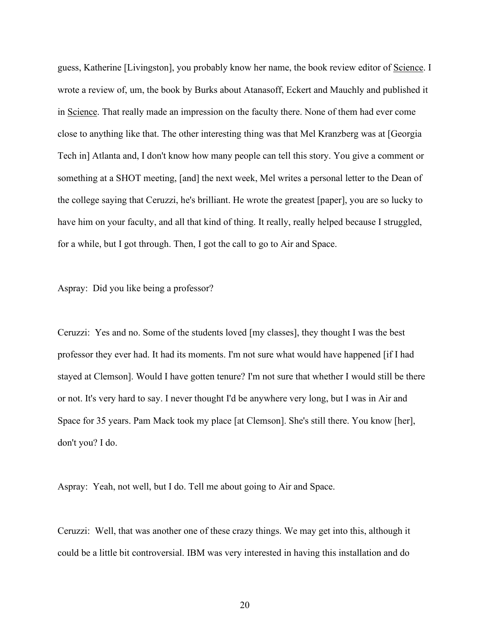guess, Katherine [Livingston], you probably know her name, the book review editor of Science. I wrote a review of, um, the book by Burks about Atanasoff, Eckert and Mauchly and published it in Science. That really made an impression on the faculty there. None of them had ever come close to anything like that. The other interesting thing was that Mel Kranzberg was at [Georgia Tech in] Atlanta and, I don't know how many people can tell this story. You give a comment or something at a SHOT meeting, [and] the next week, Mel writes a personal letter to the Dean of the college saying that Ceruzzi, he's brilliant. He wrote the greatest [paper], you are so lucky to have him on your faculty, and all that kind of thing. It really, really helped because I struggled, for a while, but I got through. Then, I got the call to go to Air and Space.

Aspray: Did you like being a professor?

Ceruzzi: Yes and no. Some of the students loved [my classes], they thought I was the best professor they ever had. It had its moments. I'm not sure what would have happened [if I had stayed at Clemson]. Would I have gotten tenure? I'm not sure that whether I would still be there or not. It's very hard to say. I never thought I'd be anywhere very long, but I was in Air and Space for 35 years. Pam Mack took my place [at Clemson]. She's still there. You know [her], don't you? I do.

Aspray: Yeah, not well, but I do. Tell me about going to Air and Space.

Ceruzzi: Well, that was another one of these crazy things. We may get into this, although it could be a little bit controversial. IBM was very interested in having this installation and do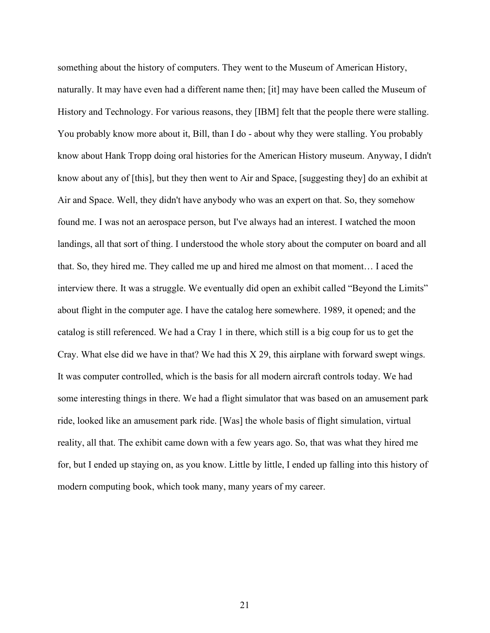something about the history of computers. They went to the Museum of American History, naturally. It may have even had a different name then; [it] may have been called the Museum of History and Technology. For various reasons, they [IBM] felt that the people there were stalling. You probably know more about it, Bill, than I do - about why they were stalling. You probably know about Hank Tropp doing oral histories for the American History museum. Anyway, I didn't know about any of [this], but they then went to Air and Space, [suggesting they] do an exhibit at Air and Space. Well, they didn't have anybody who was an expert on that. So, they somehow found me. I was not an aerospace person, but I've always had an interest. I watched the moon landings, all that sort of thing. I understood the whole story about the computer on board and all that. So, they hired me. They called me up and hired me almost on that moment… I aced the interview there. It was a struggle. We eventually did open an exhibit called "Beyond the Limits" about flight in the computer age. I have the catalog here somewhere. 1989, it opened; and the catalog is still referenced. We had a Cray 1 in there, which still is a big coup for us to get the Cray. What else did we have in that? We had this X 29, this airplane with forward swept wings. It was computer controlled, which is the basis for all modern aircraft controls today. We had some interesting things in there. We had a flight simulator that was based on an amusement park ride, looked like an amusement park ride. [Was] the whole basis of flight simulation, virtual reality, all that. The exhibit came down with a few years ago. So, that was what they hired me for, but I ended up staying on, as you know. Little by little, I ended up falling into this history of modern computing book, which took many, many years of my career.

21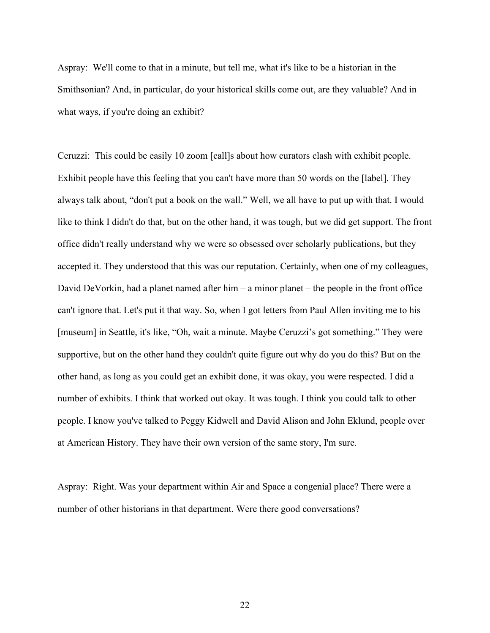Aspray: We'll come to that in a minute, but tell me, what it's like to be a historian in the Smithsonian? And, in particular, do your historical skills come out, are they valuable? And in what ways, if you're doing an exhibit?

Ceruzzi: This could be easily 10 zoom [call]s about how curators clash with exhibit people. Exhibit people have this feeling that you can't have more than 50 words on the [label]. They always talk about, "don't put a book on the wall." Well, we all have to put up with that. I would like to think I didn't do that, but on the other hand, it was tough, but we did get support. The front office didn't really understand why we were so obsessed over scholarly publications, but they accepted it. They understood that this was our reputation. Certainly, when one of my colleagues, David DeVorkin, had a planet named after him – a minor planet – the people in the front office can't ignore that. Let's put it that way. So, when I got letters from Paul Allen inviting me to his [museum] in Seattle, it's like, "Oh, wait a minute. Maybe Ceruzzi's got something." They were supportive, but on the other hand they couldn't quite figure out why do you do this? But on the other hand, as long as you could get an exhibit done, it was okay, you were respected. I did a number of exhibits. I think that worked out okay. It was tough. I think you could talk to other people. I know you've talked to Peggy Kidwell and David Alison and John Eklund, people over at American History. They have their own version of the same story, I'm sure.

Aspray: Right. Was your department within Air and Space a congenial place? There were a number of other historians in that department. Were there good conversations?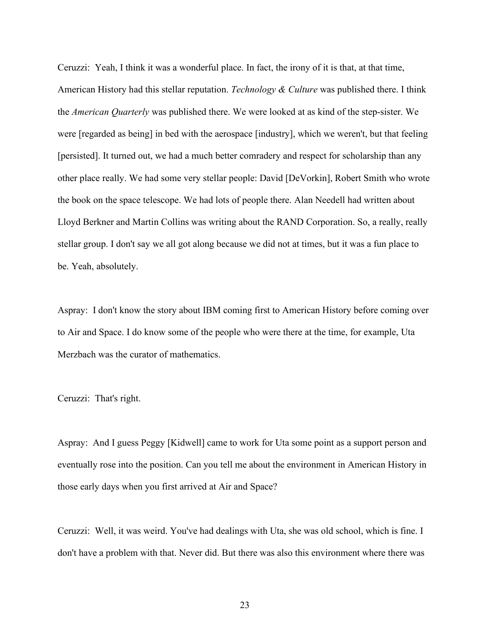Ceruzzi: Yeah, I think it was a wonderful place. In fact, the irony of it is that, at that time, American History had this stellar reputation. *Technology & Culture* was published there. I think the *American Quarterly* was published there. We were looked at as kind of the step-sister. We were [regarded as being] in bed with the aerospace [industry], which we weren't, but that feeling [persisted]. It turned out, we had a much better comradery and respect for scholarship than any other place really. We had some very stellar people: David [DeVorkin], Robert Smith who wrote the book on the space telescope. We had lots of people there. Alan Needell had written about Lloyd Berkner and Martin Collins was writing about the RAND Corporation. So, a really, really stellar group. I don't say we all got along because we did not at times, but it was a fun place to be. Yeah, absolutely.

Aspray: I don't know the story about IBM coming first to American History before coming over to Air and Space. I do know some of the people who were there at the time, for example, Uta Merzbach was the curator of mathematics.

Ceruzzi: That's right.

Aspray: And I guess Peggy [Kidwell] came to work for Uta some point as a support person and eventually rose into the position. Can you tell me about the environment in American History in those early days when you first arrived at Air and Space?

Ceruzzi: Well, it was weird. You've had dealings with Uta, she was old school, which is fine. I don't have a problem with that. Never did. But there was also this environment where there was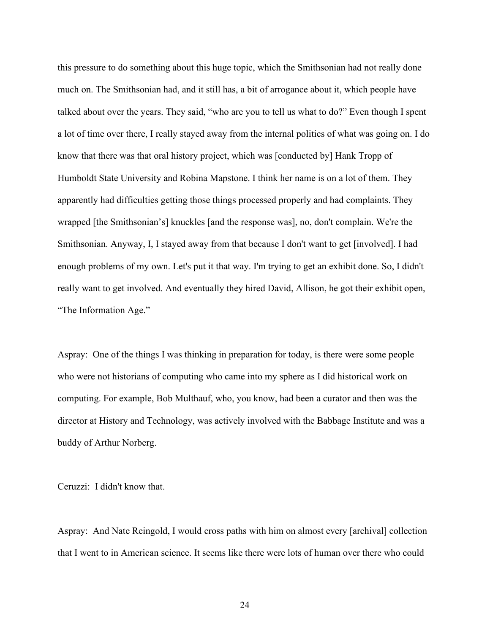this pressure to do something about this huge topic, which the Smithsonian had not really done much on. The Smithsonian had, and it still has, a bit of arrogance about it, which people have talked about over the years. They said, "who are you to tell us what to do?" Even though I spent a lot of time over there, I really stayed away from the internal politics of what was going on. I do know that there was that oral history project, which was [conducted by] Hank Tropp of Humboldt State University and Robina Mapstone. I think her name is on a lot of them. They apparently had difficulties getting those things processed properly and had complaints. They wrapped [the Smithsonian's] knuckles [and the response was], no, don't complain. We're the Smithsonian. Anyway, I, I stayed away from that because I don't want to get [involved]. I had enough problems of my own. Let's put it that way. I'm trying to get an exhibit done. So, I didn't really want to get involved. And eventually they hired David, Allison, he got their exhibit open, "The Information Age."

Aspray: One of the things I was thinking in preparation for today, is there were some people who were not historians of computing who came into my sphere as I did historical work on computing. For example, Bob Multhauf, who, you know, had been a curator and then was the director at History and Technology, was actively involved with the Babbage Institute and was a buddy of Arthur Norberg.

Ceruzzi: I didn't know that.

Aspray: And Nate Reingold, I would cross paths with him on almost every [archival] collection that I went to in American science. It seems like there were lots of human over there who could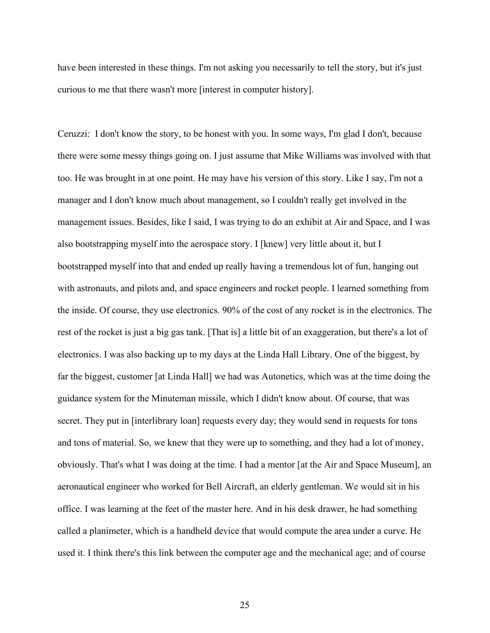have been interested in these things. I'm not asking you necessarily to tell the story, but it's just curious to me that there wasn't more [interest in computer history].

Ceruzzi: I don't know the story, to be honest with you. In some ways, I'm glad I don't, because there were some messy things going on. I just assume that Mike Williams was involved with that too. He was brought in at one point. He may have his version of this story. Like I say, I'm not a manager and I don't know much about management, so I couldn't really get involved in the management issues. Besides, like I said, I was trying to do an exhibit at Air and Space, and I was also bootstrapping myself into the aerospace story. I [knew] very little about it, but I bootstrapped myself into that and ended up really having a tremendous lot of fun, hanging out with astronauts, and pilots and, and space engineers and rocket people. I learned something from the inside. Of course, they use electronics. 90% of the cost of any rocket is in the electronics. The rest of the rocket is just a big gas tank. [That is] a little bit of an exaggeration, but there's a lot of electronics. I was also backing up to my days at the Linda Hall Library. One of the biggest, by far the biggest, customer [at Linda Hall] we had was Autonetics, which was at the time doing the guidance system for the Minuteman missile, which I didn't know about. Of course, that was secret. They put in [interlibrary loan] requests every day; they would send in requests for tons and tons of material. So, we knew that they were up to something, and they had a lot of money, obviously. That's what I was doing at the time. I had a mentor [at the Air and Space Museum], an aeronautical engineer who worked for Bell Aircraft, an elderly gentleman. We would sit in his office. I was learning at the feet of the master here. And in his desk drawer, he had something called a planimeter, which is a handheld device that would compute the area under a curve. He used it. I think there's this link between the computer age and the mechanical age; and of course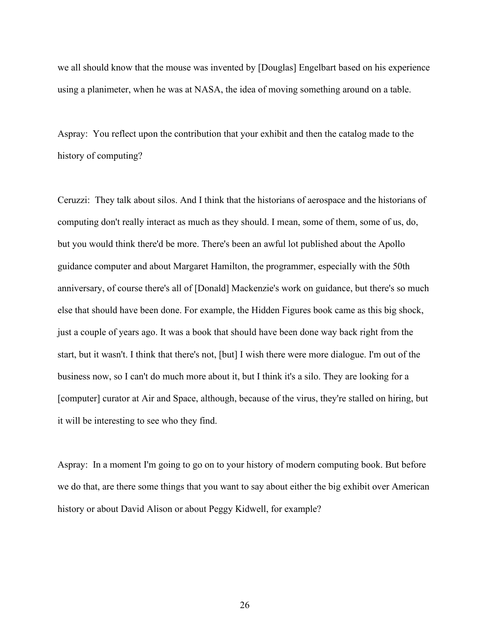we all should know that the mouse was invented by [Douglas] Engelbart based on his experience using a planimeter, when he was at NASA, the idea of moving something around on a table.

Aspray: You reflect upon the contribution that your exhibit and then the catalog made to the history of computing?

Ceruzzi: They talk about silos. And I think that the historians of aerospace and the historians of computing don't really interact as much as they should. I mean, some of them, some of us, do, but you would think there'd be more. There's been an awful lot published about the Apollo guidance computer and about Margaret Hamilton, the programmer, especially with the 50th anniversary, of course there's all of [Donald] Mackenzie's work on guidance, but there's so much else that should have been done. For example, the Hidden Figures book came as this big shock, just a couple of years ago. It was a book that should have been done way back right from the start, but it wasn't. I think that there's not, [but] I wish there were more dialogue. I'm out of the business now, so I can't do much more about it, but I think it's a silo. They are looking for a [computer] curator at Air and Space, although, because of the virus, they're stalled on hiring, but it will be interesting to see who they find.

Aspray: In a moment I'm going to go on to your history of modern computing book. But before we do that, are there some things that you want to say about either the big exhibit over American history or about David Alison or about Peggy Kidwell, for example?

26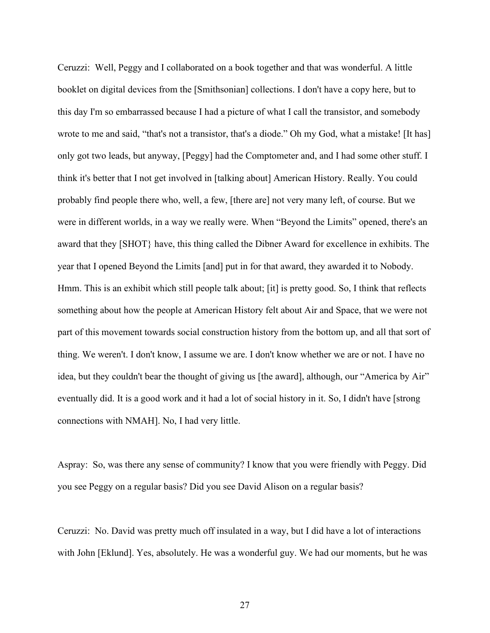Ceruzzi: Well, Peggy and I collaborated on a book together and that was wonderful. A little booklet on digital devices from the [Smithsonian] collections. I don't have a copy here, but to this day I'm so embarrassed because I had a picture of what I call the transistor, and somebody wrote to me and said, "that's not a transistor, that's a diode." Oh my God, what a mistake! [It has] only got two leads, but anyway, [Peggy] had the Comptometer and, and I had some other stuff. I think it's better that I not get involved in [talking about] American History. Really. You could probably find people there who, well, a few, [there are] not very many left, of course. But we were in different worlds, in a way we really were. When "Beyond the Limits" opened, there's an award that they [SHOT} have, this thing called the Dibner Award for excellence in exhibits. The year that I opened Beyond the Limits [and] put in for that award, they awarded it to Nobody. Hmm. This is an exhibit which still people talk about; [it] is pretty good. So, I think that reflects something about how the people at American History felt about Air and Space, that we were not part of this movement towards social construction history from the bottom up, and all that sort of thing. We weren't. I don't know, I assume we are. I don't know whether we are or not. I have no idea, but they couldn't bear the thought of giving us [the award], although, our "America by Air" eventually did. It is a good work and it had a lot of social history in it. So, I didn't have [strong connections with NMAH]. No, I had very little.

Aspray: So, was there any sense of community? I know that you were friendly with Peggy. Did you see Peggy on a regular basis? Did you see David Alison on a regular basis?

Ceruzzi: No. David was pretty much off insulated in a way, but I did have a lot of interactions with John [Eklund]. Yes, absolutely. He was a wonderful guy. We had our moments, but he was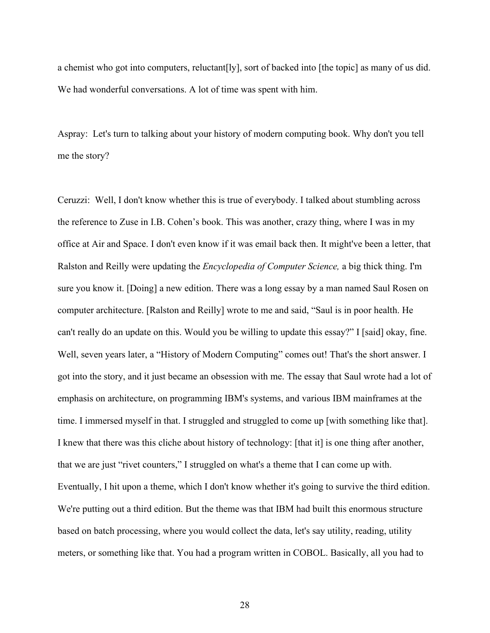a chemist who got into computers, reluctant[ly], sort of backed into [the topic] as many of us did. We had wonderful conversations. A lot of time was spent with him.

Aspray: Let's turn to talking about your history of modern computing book. Why don't you tell me the story?

Ceruzzi: Well, I don't know whether this is true of everybody. I talked about stumbling across the reference to Zuse in I.B. Cohen's book. This was another, crazy thing, where I was in my office at Air and Space. I don't even know if it was email back then. It might've been a letter, that Ralston and Reilly were updating the *Encyclopedia of Computer Science,* a big thick thing. I'm sure you know it. [Doing] a new edition. There was a long essay by a man named Saul Rosen on computer architecture. [Ralston and Reilly] wrote to me and said, "Saul is in poor health. He can't really do an update on this. Would you be willing to update this essay?" I [said] okay, fine. Well, seven years later, a "History of Modern Computing" comes out! That's the short answer. I got into the story, and it just became an obsession with me. The essay that Saul wrote had a lot of emphasis on architecture, on programming IBM's systems, and various IBM mainframes at the time. I immersed myself in that. I struggled and struggled to come up [with something like that]. I knew that there was this cliche about history of technology: [that it] is one thing after another, that we are just "rivet counters," I struggled on what's a theme that I can come up with. Eventually, I hit upon a theme, which I don't know whether it's going to survive the third edition. We're putting out a third edition. But the theme was that IBM had built this enormous structure based on batch processing, where you would collect the data, let's say utility, reading, utility meters, or something like that. You had a program written in COBOL. Basically, all you had to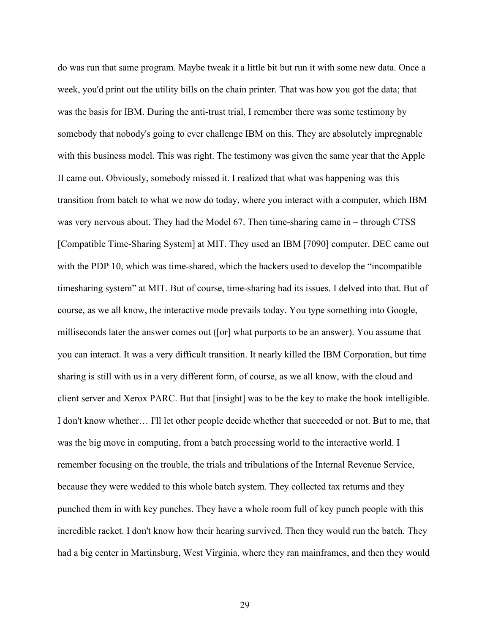do was run that same program. Maybe tweak it a little bit but run it with some new data. Once a week, you'd print out the utility bills on the chain printer. That was how you got the data; that was the basis for IBM. During the anti-trust trial, I remember there was some testimony by somebody that nobody's going to ever challenge IBM on this. They are absolutely impregnable with this business model. This was right. The testimony was given the same year that the Apple II came out. Obviously, somebody missed it. I realized that what was happening was this transition from batch to what we now do today, where you interact with a computer, which IBM was very nervous about. They had the Model 67. Then time-sharing came in – through CTSS [Compatible Time-Sharing System] at MIT. They used an IBM [7090] computer. DEC came out with the PDP 10, which was time-shared, which the hackers used to develop the "incompatible timesharing system" at MIT. But of course, time-sharing had its issues. I delved into that. But of course, as we all know, the interactive mode prevails today. You type something into Google, milliseconds later the answer comes out ([or] what purports to be an answer). You assume that you can interact. It was a very difficult transition. It nearly killed the IBM Corporation, but time sharing is still with us in a very different form, of course, as we all know, with the cloud and client server and Xerox PARC. But that [insight] was to be the key to make the book intelligible. I don't know whether… I'll let other people decide whether that succeeded or not. But to me, that was the big move in computing, from a batch processing world to the interactive world. I remember focusing on the trouble, the trials and tribulations of the Internal Revenue Service, because they were wedded to this whole batch system. They collected tax returns and they punched them in with key punches. They have a whole room full of key punch people with this incredible racket. I don't know how their hearing survived. Then they would run the batch. They had a big center in Martinsburg, West Virginia, where they ran mainframes, and then they would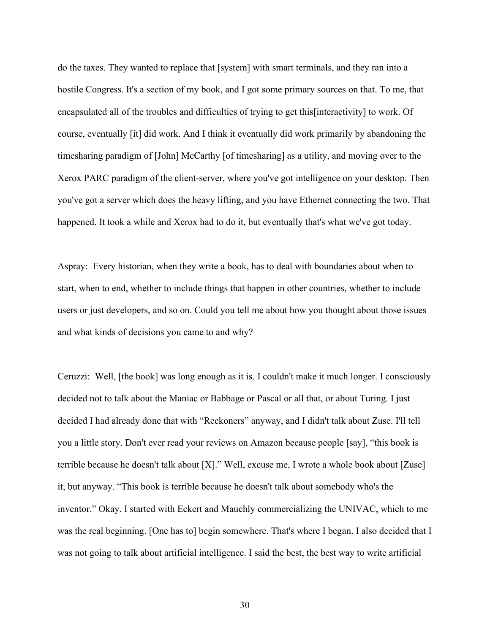do the taxes. They wanted to replace that [system] with smart terminals, and they ran into a hostile Congress. It's a section of my book, and I got some primary sources on that. To me, that encapsulated all of the troubles and difficulties of trying to get this[interactivity] to work. Of course, eventually [it] did work. And I think it eventually did work primarily by abandoning the timesharing paradigm of [John] McCarthy [of timesharing] as a utility, and moving over to the Xerox PARC paradigm of the client-server, where you've got intelligence on your desktop. Then you've got a server which does the heavy lifting, and you have Ethernet connecting the two. That happened. It took a while and Xerox had to do it, but eventually that's what we've got today.

Aspray: Every historian, when they write a book, has to deal with boundaries about when to start, when to end, whether to include things that happen in other countries, whether to include users or just developers, and so on. Could you tell me about how you thought about those issues and what kinds of decisions you came to and why?

Ceruzzi: Well, [the book] was long enough as it is. I couldn't make it much longer. I consciously decided not to talk about the Maniac or Babbage or Pascal or all that, or about Turing. I just decided I had already done that with "Reckoners" anyway, and I didn't talk about Zuse. I'll tell you a little story. Don't ever read your reviews on Amazon because people [say], "this book is terrible because he doesn't talk about [X]." Well, excuse me, I wrote a whole book about [Zuse] it, but anyway. "This book is terrible because he doesn't talk about somebody who's the inventor." Okay. I started with Eckert and Mauchly commercializing the UNIVAC, which to me was the real beginning. [One has to] begin somewhere. That's where I began. I also decided that I was not going to talk about artificial intelligence. I said the best, the best way to write artificial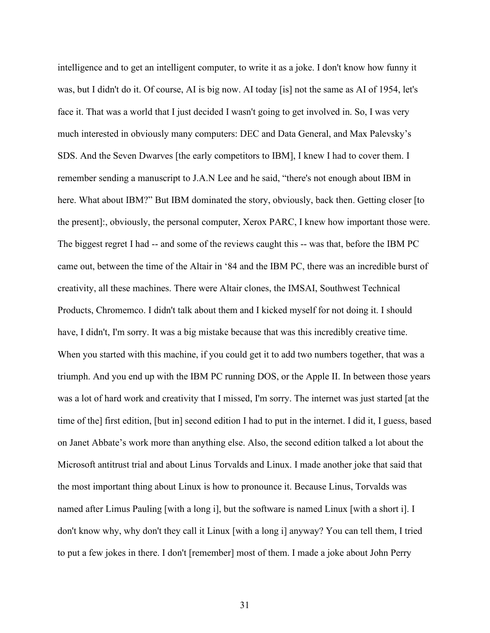intelligence and to get an intelligent computer, to write it as a joke. I don't know how funny it was, but I didn't do it. Of course, AI is big now. AI today [is] not the same as AI of 1954, let's face it. That was a world that I just decided I wasn't going to get involved in. So, I was very much interested in obviously many computers: DEC and Data General, and Max Palevsky's SDS. And the Seven Dwarves [the early competitors to IBM], I knew I had to cover them. I remember sending a manuscript to J.A.N Lee and he said, "there's not enough about IBM in here. What about IBM?" But IBM dominated the story, obviously, back then. Getting closer [to the present]:, obviously, the personal computer, Xerox PARC, I knew how important those were. The biggest regret I had -- and some of the reviews caught this -- was that, before the IBM PC came out, between the time of the Altair in '84 and the IBM PC, there was an incredible burst of creativity, all these machines. There were Altair clones, the IMSAI, Southwest Technical Products, Chromemco. I didn't talk about them and I kicked myself for not doing it. I should have, I didn't, I'm sorry. It was a big mistake because that was this incredibly creative time. When you started with this machine, if you could get it to add two numbers together, that was a triumph. And you end up with the IBM PC running DOS, or the Apple II. In between those years was a lot of hard work and creativity that I missed, I'm sorry. The internet was just started [at the time of the] first edition, [but in] second edition I had to put in the internet. I did it, I guess, based on Janet Abbate's work more than anything else. Also, the second edition talked a lot about the Microsoft antitrust trial and about Linus Torvalds and Linux. I made another joke that said that the most important thing about Linux is how to pronounce it. Because Linus, Torvalds was named after Limus Pauling [with a long i], but the software is named Linux [with a short i]. I don't know why, why don't they call it Linux [with a long i] anyway? You can tell them, I tried to put a few jokes in there. I don't [remember] most of them. I made a joke about John Perry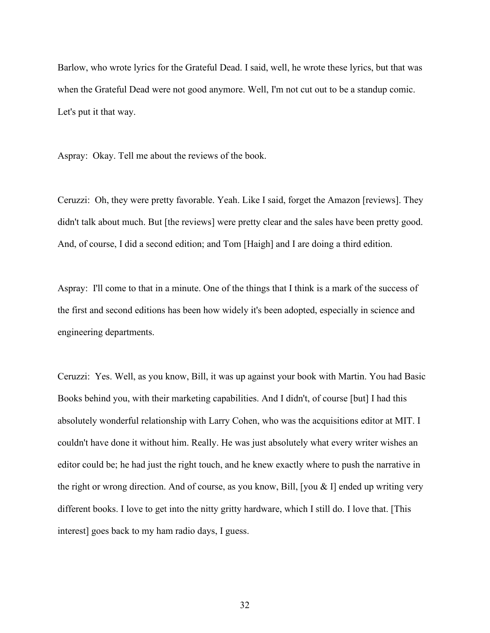Barlow, who wrote lyrics for the Grateful Dead. I said, well, he wrote these lyrics, but that was when the Grateful Dead were not good anymore. Well, I'm not cut out to be a standup comic. Let's put it that way.

Aspray: Okay. Tell me about the reviews of the book.

Ceruzzi: Oh, they were pretty favorable. Yeah. Like I said, forget the Amazon [reviews]. They didn't talk about much. But [the reviews] were pretty clear and the sales have been pretty good. And, of course, I did a second edition; and Tom [Haigh] and I are doing a third edition.

Aspray: I'll come to that in a minute. One of the things that I think is a mark of the success of the first and second editions has been how widely it's been adopted, especially in science and engineering departments.

Ceruzzi: Yes. Well, as you know, Bill, it was up against your book with Martin. You had Basic Books behind you, with their marketing capabilities. And I didn't, of course [but] I had this absolutely wonderful relationship with Larry Cohen, who was the acquisitions editor at MIT. I couldn't have done it without him. Really. He was just absolutely what every writer wishes an editor could be; he had just the right touch, and he knew exactly where to push the narrative in the right or wrong direction. And of course, as you know, Bill, [you & I] ended up writing very different books. I love to get into the nitty gritty hardware, which I still do. I love that. [This interest] goes back to my ham radio days, I guess.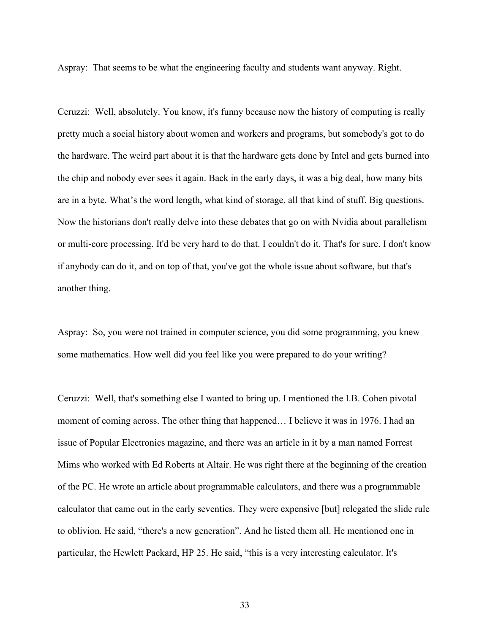Aspray: That seems to be what the engineering faculty and students want anyway. Right.

Ceruzzi: Well, absolutely. You know, it's funny because now the history of computing is really pretty much a social history about women and workers and programs, but somebody's got to do the hardware. The weird part about it is that the hardware gets done by Intel and gets burned into the chip and nobody ever sees it again. Back in the early days, it was a big deal, how many bits are in a byte. What's the word length, what kind of storage, all that kind of stuff. Big questions. Now the historians don't really delve into these debates that go on with Nvidia about parallelism or multi-core processing. It'd be very hard to do that. I couldn't do it. That's for sure. I don't know if anybody can do it, and on top of that, you've got the whole issue about software, but that's another thing.

Aspray: So, you were not trained in computer science, you did some programming, you knew some mathematics. How well did you feel like you were prepared to do your writing?

Ceruzzi: Well, that's something else I wanted to bring up. I mentioned the I.B. Cohen pivotal moment of coming across. The other thing that happened… I believe it was in 1976. I had an issue of Popular Electronics magazine, and there was an article in it by a man named Forrest Mims who worked with Ed Roberts at Altair. He was right there at the beginning of the creation of the PC. He wrote an article about programmable calculators, and there was a programmable calculator that came out in the early seventies. They were expensive [but] relegated the slide rule to oblivion. He said, "there's a new generation". And he listed them all. He mentioned one in particular, the Hewlett Packard, HP 25. He said, "this is a very interesting calculator. It's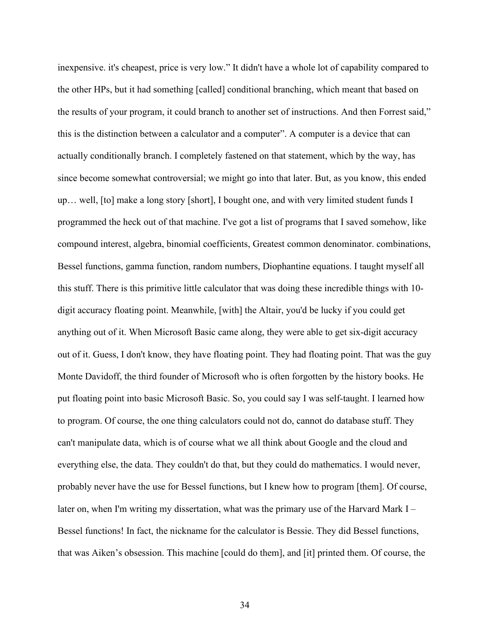inexpensive. it's cheapest, price is very low." It didn't have a whole lot of capability compared to the other HPs, but it had something [called] conditional branching, which meant that based on the results of your program, it could branch to another set of instructions. And then Forrest said," this is the distinction between a calculator and a computer". A computer is a device that can actually conditionally branch. I completely fastened on that statement, which by the way, has since become somewhat controversial; we might go into that later. But, as you know, this ended up… well, [to] make a long story [short], I bought one, and with very limited student funds I programmed the heck out of that machine. I've got a list of programs that I saved somehow, like compound interest, algebra, binomial coefficients, Greatest common denominator. combinations, Bessel functions, gamma function, random numbers, Diophantine equations. I taught myself all this stuff. There is this primitive little calculator that was doing these incredible things with 10 digit accuracy floating point. Meanwhile, [with] the Altair, you'd be lucky if you could get anything out of it. When Microsoft Basic came along, they were able to get six-digit accuracy out of it. Guess, I don't know, they have floating point. They had floating point. That was the guy Monte Davidoff, the third founder of Microsoft who is often forgotten by the history books. He put floating point into basic Microsoft Basic. So, you could say I was self-taught. I learned how to program. Of course, the one thing calculators could not do, cannot do database stuff. They can't manipulate data, which is of course what we all think about Google and the cloud and everything else, the data. They couldn't do that, but they could do mathematics. I would never, probably never have the use for Bessel functions, but I knew how to program [them]. Of course, later on, when I'm writing my dissertation, what was the primary use of the Harvard Mark I – Bessel functions! In fact, the nickname for the calculator is Bessie. They did Bessel functions, that was Aiken's obsession. This machine [could do them], and [it] printed them. Of course, the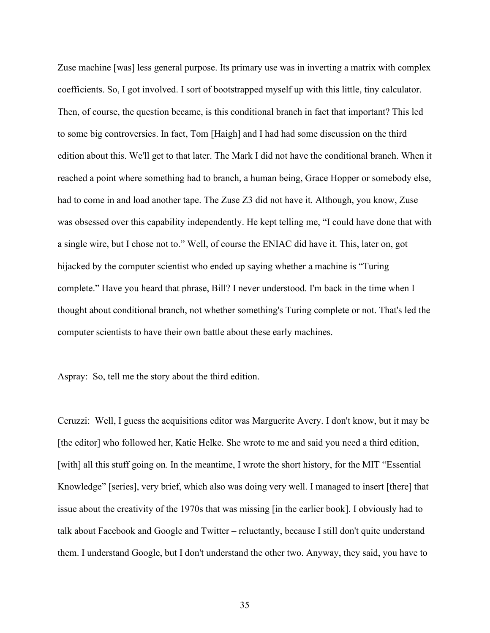Zuse machine [was] less general purpose. Its primary use was in inverting a matrix with complex coefficients. So, I got involved. I sort of bootstrapped myself up with this little, tiny calculator. Then, of course, the question became, is this conditional branch in fact that important? This led to some big controversies. In fact, Tom [Haigh] and I had had some discussion on the third edition about this. We'll get to that later. The Mark I did not have the conditional branch. When it reached a point where something had to branch, a human being, Grace Hopper or somebody else, had to come in and load another tape. The Zuse Z3 did not have it. Although, you know, Zuse was obsessed over this capability independently. He kept telling me, "I could have done that with a single wire, but I chose not to." Well, of course the ENIAC did have it. This, later on, got hijacked by the computer scientist who ended up saying whether a machine is "Turing complete." Have you heard that phrase, Bill? I never understood. I'm back in the time when I thought about conditional branch, not whether something's Turing complete or not. That's led the computer scientists to have their own battle about these early machines.

Aspray: So, tell me the story about the third edition.

Ceruzzi: Well, I guess the acquisitions editor was Marguerite Avery. I don't know, but it may be [the editor] who followed her, Katie Helke. She wrote to me and said you need a third edition, [with] all this stuff going on. In the meantime, I wrote the short history, for the MIT "Essential Knowledge" [series], very brief, which also was doing very well. I managed to insert [there] that issue about the creativity of the 1970s that was missing [in the earlier book]. I obviously had to talk about Facebook and Google and Twitter – reluctantly, because I still don't quite understand them. I understand Google, but I don't understand the other two. Anyway, they said, you have to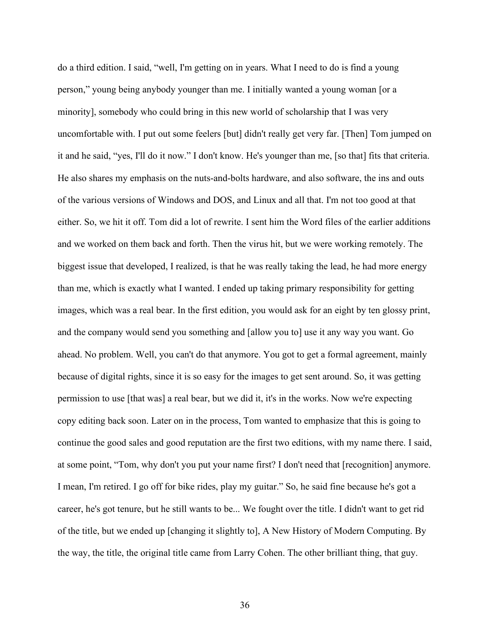do a third edition. I said, "well, I'm getting on in years. What I need to do is find a young person," young being anybody younger than me. I initially wanted a young woman [or a minority], somebody who could bring in this new world of scholarship that I was very uncomfortable with. I put out some feelers [but] didn't really get very far. [Then] Tom jumped on it and he said, "yes, I'll do it now." I don't know. He's younger than me, [so that] fits that criteria. He also shares my emphasis on the nuts-and-bolts hardware, and also software, the ins and outs of the various versions of Windows and DOS, and Linux and all that. I'm not too good at that either. So, we hit it off. Tom did a lot of rewrite. I sent him the Word files of the earlier additions and we worked on them back and forth. Then the virus hit, but we were working remotely. The biggest issue that developed, I realized, is that he was really taking the lead, he had more energy than me, which is exactly what I wanted. I ended up taking primary responsibility for getting images, which was a real bear. In the first edition, you would ask for an eight by ten glossy print, and the company would send you something and [allow you to] use it any way you want. Go ahead. No problem. Well, you can't do that anymore. You got to get a formal agreement, mainly because of digital rights, since it is so easy for the images to get sent around. So, it was getting permission to use [that was] a real bear, but we did it, it's in the works. Now we're expecting copy editing back soon. Later on in the process, Tom wanted to emphasize that this is going to continue the good sales and good reputation are the first two editions, with my name there. I said, at some point, "Tom, why don't you put your name first? I don't need that [recognition] anymore. I mean, I'm retired. I go off for bike rides, play my guitar." So, he said fine because he's got a career, he's got tenure, but he still wants to be... We fought over the title. I didn't want to get rid of the title, but we ended up [changing it slightly to], A New History of Modern Computing. By the way, the title, the original title came from Larry Cohen. The other brilliant thing, that guy.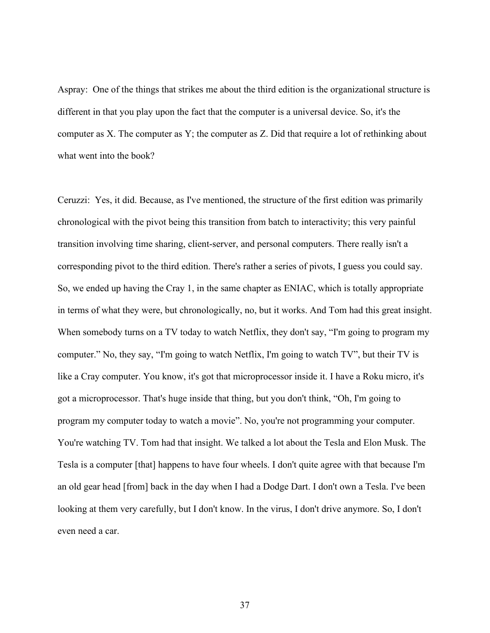Aspray: One of the things that strikes me about the third edition is the organizational structure is different in that you play upon the fact that the computer is a universal device. So, it's the computer as X. The computer as Y; the computer as Z. Did that require a lot of rethinking about what went into the book?

Ceruzzi: Yes, it did. Because, as I've mentioned, the structure of the first edition was primarily chronological with the pivot being this transition from batch to interactivity; this very painful transition involving time sharing, client-server, and personal computers. There really isn't a corresponding pivot to the third edition. There's rather a series of pivots, I guess you could say. So, we ended up having the Cray 1, in the same chapter as ENIAC, which is totally appropriate in terms of what they were, but chronologically, no, but it works. And Tom had this great insight. When somebody turns on a TV today to watch Netflix, they don't say, "I'm going to program my computer." No, they say, "I'm going to watch Netflix, I'm going to watch TV", but their TV is like a Cray computer. You know, it's got that microprocessor inside it. I have a Roku micro, it's got a microprocessor. That's huge inside that thing, but you don't think, "Oh, I'm going to program my computer today to watch a movie". No, you're not programming your computer. You're watching TV. Tom had that insight. We talked a lot about the Tesla and Elon Musk. The Tesla is a computer [that] happens to have four wheels. I don't quite agree with that because I'm an old gear head [from] back in the day when I had a Dodge Dart. I don't own a Tesla. I've been looking at them very carefully, but I don't know. In the virus, I don't drive anymore. So, I don't even need a car.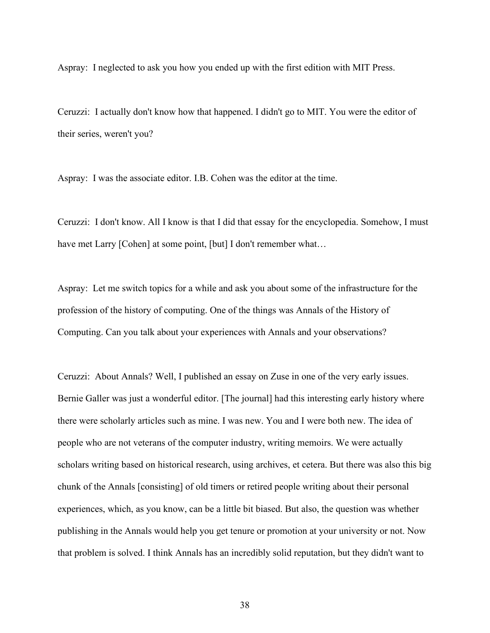Aspray: I neglected to ask you how you ended up with the first edition with MIT Press.

Ceruzzi: I actually don't know how that happened. I didn't go to MIT. You were the editor of their series, weren't you?

Aspray: I was the associate editor. I.B. Cohen was the editor at the time.

Ceruzzi: I don't know. All I know is that I did that essay for the encyclopedia. Somehow, I must have met Larry [Cohen] at some point, [but] I don't remember what...

Aspray: Let me switch topics for a while and ask you about some of the infrastructure for the profession of the history of computing. One of the things was Annals of the History of Computing. Can you talk about your experiences with Annals and your observations?

Ceruzzi: About Annals? Well, I published an essay on Zuse in one of the very early issues. Bernie Galler was just a wonderful editor. [The journal] had this interesting early history where there were scholarly articles such as mine. I was new. You and I were both new. The idea of people who are not veterans of the computer industry, writing memoirs. We were actually scholars writing based on historical research, using archives, et cetera. But there was also this big chunk of the Annals [consisting] of old timers or retired people writing about their personal experiences, which, as you know, can be a little bit biased. But also, the question was whether publishing in the Annals would help you get tenure or promotion at your university or not. Now that problem is solved. I think Annals has an incredibly solid reputation, but they didn't want to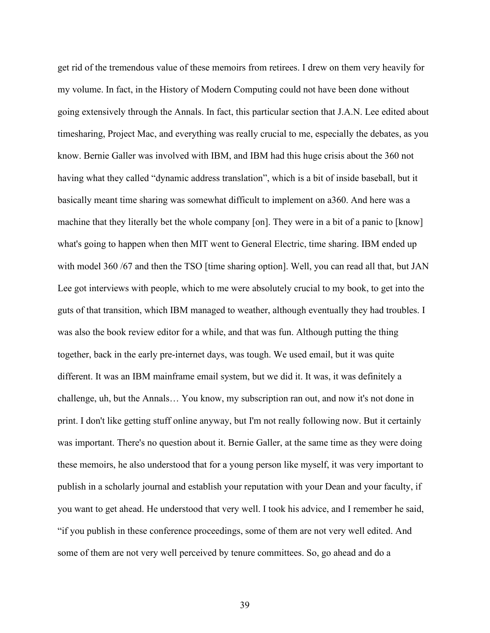get rid of the tremendous value of these memoirs from retirees. I drew on them very heavily for my volume. In fact, in the History of Modern Computing could not have been done without going extensively through the Annals. In fact, this particular section that J.A.N. Lee edited about timesharing, Project Mac, and everything was really crucial to me, especially the debates, as you know. Bernie Galler was involved with IBM, and IBM had this huge crisis about the 360 not having what they called "dynamic address translation", which is a bit of inside baseball, but it basically meant time sharing was somewhat difficult to implement on a360. And here was a machine that they literally bet the whole company [on]. They were in a bit of a panic to [know] what's going to happen when then MIT went to General Electric, time sharing. IBM ended up with model 360 /67 and then the TSO [time sharing option]. Well, you can read all that, but JAN Lee got interviews with people, which to me were absolutely crucial to my book, to get into the guts of that transition, which IBM managed to weather, although eventually they had troubles. I was also the book review editor for a while, and that was fun. Although putting the thing together, back in the early pre-internet days, was tough. We used email, but it was quite different. It was an IBM mainframe email system, but we did it. It was, it was definitely a challenge, uh, but the Annals… You know, my subscription ran out, and now it's not done in print. I don't like getting stuff online anyway, but I'm not really following now. But it certainly was important. There's no question about it. Bernie Galler, at the same time as they were doing these memoirs, he also understood that for a young person like myself, it was very important to publish in a scholarly journal and establish your reputation with your Dean and your faculty, if you want to get ahead. He understood that very well. I took his advice, and I remember he said, "if you publish in these conference proceedings, some of them are not very well edited. And some of them are not very well perceived by tenure committees. So, go ahead and do a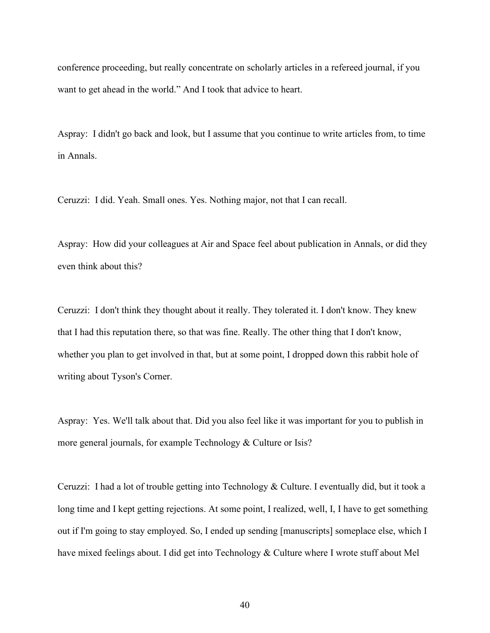conference proceeding, but really concentrate on scholarly articles in a refereed journal, if you want to get ahead in the world." And I took that advice to heart.

Aspray: I didn't go back and look, but I assume that you continue to write articles from, to time in Annals.

Ceruzzi: I did. Yeah. Small ones. Yes. Nothing major, not that I can recall.

Aspray: How did your colleagues at Air and Space feel about publication in Annals, or did they even think about this?

Ceruzzi: I don't think they thought about it really. They tolerated it. I don't know. They knew that I had this reputation there, so that was fine. Really. The other thing that I don't know, whether you plan to get involved in that, but at some point, I dropped down this rabbit hole of writing about Tyson's Corner.

Aspray: Yes. We'll talk about that. Did you also feel like it was important for you to publish in more general journals, for example Technology & Culture or Isis?

Ceruzzi: I had a lot of trouble getting into Technology & Culture. I eventually did, but it took a long time and I kept getting rejections. At some point, I realized, well, I, I have to get something out if I'm going to stay employed. So, I ended up sending [manuscripts] someplace else, which I have mixed feelings about. I did get into Technology & Culture where I wrote stuff about Mel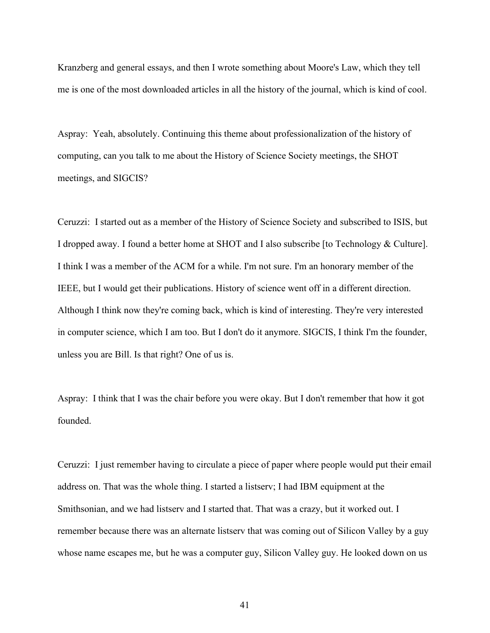Kranzberg and general essays, and then I wrote something about Moore's Law, which they tell me is one of the most downloaded articles in all the history of the journal, which is kind of cool.

Aspray: Yeah, absolutely. Continuing this theme about professionalization of the history of computing, can you talk to me about the History of Science Society meetings, the SHOT meetings, and SIGCIS?

Ceruzzi: I started out as a member of the History of Science Society and subscribed to ISIS, but I dropped away. I found a better home at SHOT and I also subscribe [to Technology & Culture]. I think I was a member of the ACM for a while. I'm not sure. I'm an honorary member of the IEEE, but I would get their publications. History of science went off in a different direction. Although I think now they're coming back, which is kind of interesting. They're very interested in computer science, which I am too. But I don't do it anymore. SIGCIS, I think I'm the founder, unless you are Bill. Is that right? One of us is.

Aspray: I think that I was the chair before you were okay. But I don't remember that how it got founded.

Ceruzzi: I just remember having to circulate a piece of paper where people would put their email address on. That was the whole thing. I started a listserv; I had IBM equipment at the Smithsonian, and we had listserv and I started that. That was a crazy, but it worked out. I remember because there was an alternate listserv that was coming out of Silicon Valley by a guy whose name escapes me, but he was a computer guy, Silicon Valley guy. He looked down on us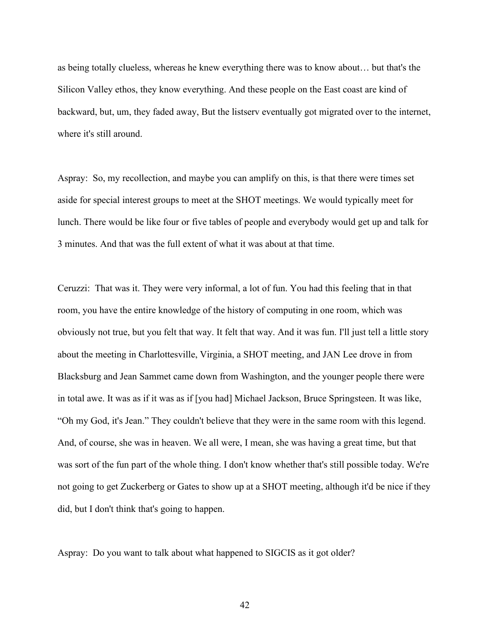as being totally clueless, whereas he knew everything there was to know about… but that's the Silicon Valley ethos, they know everything. And these people on the East coast are kind of backward, but, um, they faded away, But the listserv eventually got migrated over to the internet, where it's still around.

Aspray: So, my recollection, and maybe you can amplify on this, is that there were times set aside for special interest groups to meet at the SHOT meetings. We would typically meet for lunch. There would be like four or five tables of people and everybody would get up and talk for 3 minutes. And that was the full extent of what it was about at that time.

Ceruzzi: That was it. They were very informal, a lot of fun. You had this feeling that in that room, you have the entire knowledge of the history of computing in one room, which was obviously not true, but you felt that way. It felt that way. And it was fun. I'll just tell a little story about the meeting in Charlottesville, Virginia, a SHOT meeting, and JAN Lee drove in from Blacksburg and Jean Sammet came down from Washington, and the younger people there were in total awe. It was as if it was as if [you had] Michael Jackson, Bruce Springsteen. It was like, "Oh my God, it's Jean." They couldn't believe that they were in the same room with this legend. And, of course, she was in heaven. We all were, I mean, she was having a great time, but that was sort of the fun part of the whole thing. I don't know whether that's still possible today. We're not going to get Zuckerberg or Gates to show up at a SHOT meeting, although it'd be nice if they did, but I don't think that's going to happen.

Aspray: Do you want to talk about what happened to SIGCIS as it got older?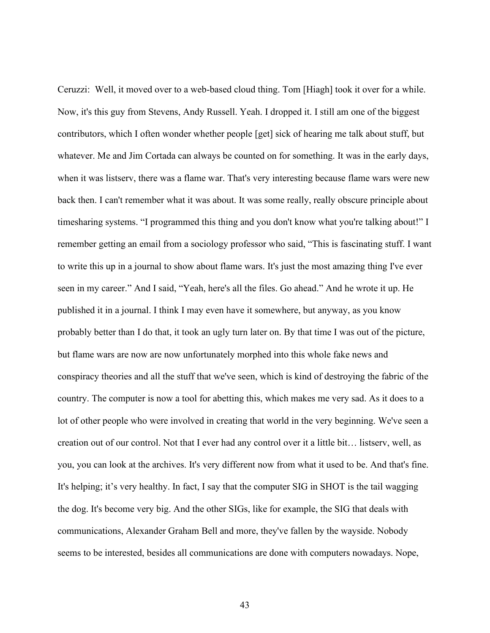Ceruzzi: Well, it moved over to a web-based cloud thing. Tom [Hiagh] took it over for a while. Now, it's this guy from Stevens, Andy Russell. Yeah. I dropped it. I still am one of the biggest contributors, which I often wonder whether people [get] sick of hearing me talk about stuff, but whatever. Me and Jim Cortada can always be counted on for something. It was in the early days, when it was listserv, there was a flame war. That's very interesting because flame wars were new back then. I can't remember what it was about. It was some really, really obscure principle about timesharing systems. "I programmed this thing and you don't know what you're talking about!" I remember getting an email from a sociology professor who said, "This is fascinating stuff. I want to write this up in a journal to show about flame wars. It's just the most amazing thing I've ever seen in my career." And I said, "Yeah, here's all the files. Go ahead." And he wrote it up. He published it in a journal. I think I may even have it somewhere, but anyway, as you know probably better than I do that, it took an ugly turn later on. By that time I was out of the picture, but flame wars are now are now unfortunately morphed into this whole fake news and conspiracy theories and all the stuff that we've seen, which is kind of destroying the fabric of the country. The computer is now a tool for abetting this, which makes me very sad. As it does to a lot of other people who were involved in creating that world in the very beginning. We've seen a creation out of our control. Not that I ever had any control over it a little bit… listserv, well, as you, you can look at the archives. It's very different now from what it used to be. And that's fine. It's helping; it's very healthy. In fact, I say that the computer SIG in SHOT is the tail wagging the dog. It's become very big. And the other SIGs, like for example, the SIG that deals with communications, Alexander Graham Bell and more, they've fallen by the wayside. Nobody seems to be interested, besides all communications are done with computers nowadays. Nope,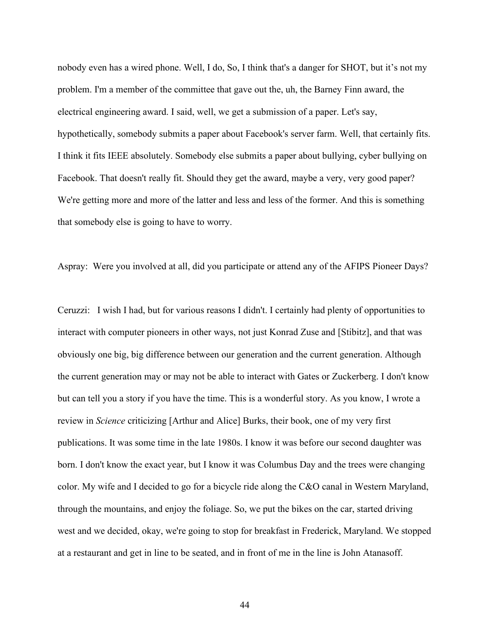nobody even has a wired phone. Well, I do, So, I think that's a danger for SHOT, but it's not my problem. I'm a member of the committee that gave out the, uh, the Barney Finn award, the electrical engineering award. I said, well, we get a submission of a paper. Let's say, hypothetically, somebody submits a paper about Facebook's server farm. Well, that certainly fits. I think it fits IEEE absolutely. Somebody else submits a paper about bullying, cyber bullying on Facebook. That doesn't really fit. Should they get the award, maybe a very, very good paper? We're getting more and more of the latter and less and less of the former. And this is something that somebody else is going to have to worry.

Aspray: Were you involved at all, did you participate or attend any of the AFIPS Pioneer Days?

Ceruzzi: I wish I had, but for various reasons I didn't. I certainly had plenty of opportunities to interact with computer pioneers in other ways, not just Konrad Zuse and [Stibitz], and that was obviously one big, big difference between our generation and the current generation. Although the current generation may or may not be able to interact with Gates or Zuckerberg. I don't know but can tell you a story if you have the time. This is a wonderful story. As you know, I wrote a review in *Science* criticizing [Arthur and Alice] Burks, their book, one of my very first publications. It was some time in the late 1980s. I know it was before our second daughter was born. I don't know the exact year, but I know it was Columbus Day and the trees were changing color. My wife and I decided to go for a bicycle ride along the C&O canal in Western Maryland, through the mountains, and enjoy the foliage. So, we put the bikes on the car, started driving west and we decided, okay, we're going to stop for breakfast in Frederick, Maryland. We stopped at a restaurant and get in line to be seated, and in front of me in the line is John Atanasoff.

44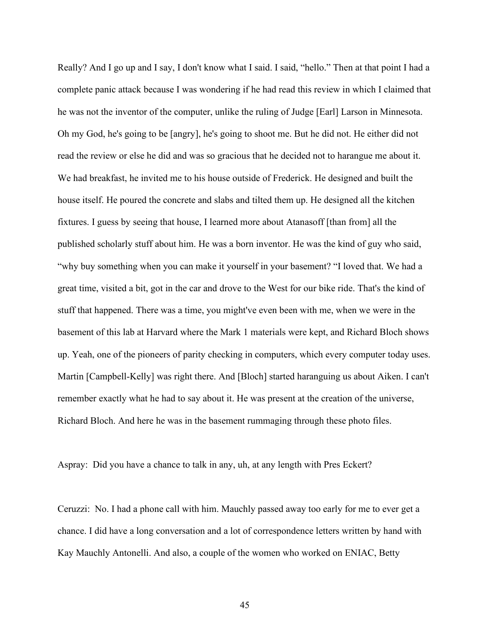Really? And I go up and I say, I don't know what I said. I said, "hello." Then at that point I had a complete panic attack because I was wondering if he had read this review in which I claimed that he was not the inventor of the computer, unlike the ruling of Judge [Earl] Larson in Minnesota. Oh my God, he's going to be [angry], he's going to shoot me. But he did not. He either did not read the review or else he did and was so gracious that he decided not to harangue me about it. We had breakfast, he invited me to his house outside of Frederick. He designed and built the house itself. He poured the concrete and slabs and tilted them up. He designed all the kitchen fixtures. I guess by seeing that house, I learned more about Atanasoff [than from] all the published scholarly stuff about him. He was a born inventor. He was the kind of guy who said, "why buy something when you can make it yourself in your basement? "I loved that. We had a great time, visited a bit, got in the car and drove to the West for our bike ride. That's the kind of stuff that happened. There was a time, you might've even been with me, when we were in the basement of this lab at Harvard where the Mark 1 materials were kept, and Richard Bloch shows up. Yeah, one of the pioneers of parity checking in computers, which every computer today uses. Martin [Campbell-Kelly] was right there. And [Bloch] started haranguing us about Aiken. I can't remember exactly what he had to say about it. He was present at the creation of the universe, Richard Bloch. And here he was in the basement rummaging through these photo files.

Aspray: Did you have a chance to talk in any, uh, at any length with Pres Eckert?

Ceruzzi: No. I had a phone call with him. Mauchly passed away too early for me to ever get a chance. I did have a long conversation and a lot of correspondence letters written by hand with Kay Mauchly Antonelli. And also, a couple of the women who worked on ENIAC, Betty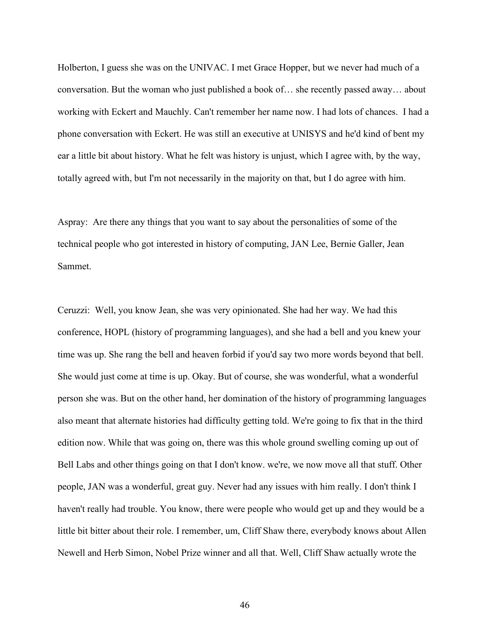Holberton, I guess she was on the UNIVAC. I met Grace Hopper, but we never had much of a conversation. But the woman who just published a book of… she recently passed away… about working with Eckert and Mauchly. Can't remember her name now. I had lots of chances. I had a phone conversation with Eckert. He was still an executive at UNISYS and he'd kind of bent my ear a little bit about history. What he felt was history is unjust, which I agree with, by the way, totally agreed with, but I'm not necessarily in the majority on that, but I do agree with him.

Aspray: Are there any things that you want to say about the personalities of some of the technical people who got interested in history of computing, JAN Lee, Bernie Galler, Jean Sammet.

Ceruzzi: Well, you know Jean, she was very opinionated. She had her way. We had this conference, HOPL (history of programming languages), and she had a bell and you knew your time was up. She rang the bell and heaven forbid if you'd say two more words beyond that bell. She would just come at time is up. Okay. But of course, she was wonderful, what a wonderful person she was. But on the other hand, her domination of the history of programming languages also meant that alternate histories had difficulty getting told. We're going to fix that in the third edition now. While that was going on, there was this whole ground swelling coming up out of Bell Labs and other things going on that I don't know. we're, we now move all that stuff. Other people, JAN was a wonderful, great guy. Never had any issues with him really. I don't think I haven't really had trouble. You know, there were people who would get up and they would be a little bit bitter about their role. I remember, um, Cliff Shaw there, everybody knows about Allen Newell and Herb Simon, Nobel Prize winner and all that. Well, Cliff Shaw actually wrote the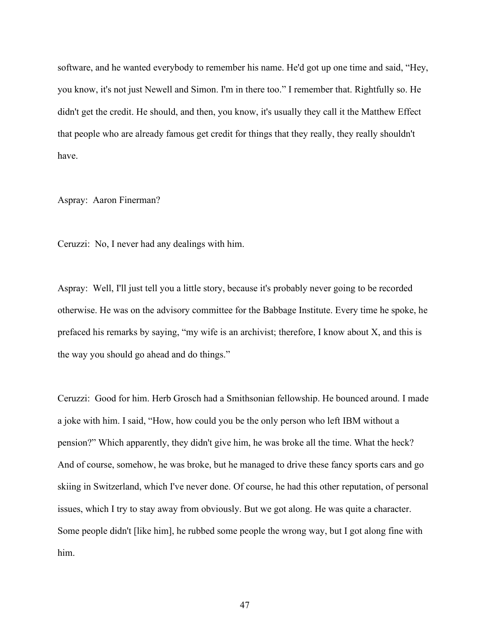software, and he wanted everybody to remember his name. He'd got up one time and said, "Hey, you know, it's not just Newell and Simon. I'm in there too." I remember that. Rightfully so. He didn't get the credit. He should, and then, you know, it's usually they call it the Matthew Effect that people who are already famous get credit for things that they really, they really shouldn't have.

Aspray: Aaron Finerman?

Ceruzzi: No, I never had any dealings with him.

Aspray: Well, I'll just tell you a little story, because it's probably never going to be recorded otherwise. He was on the advisory committee for the Babbage Institute. Every time he spoke, he prefaced his remarks by saying, "my wife is an archivist; therefore, I know about X, and this is the way you should go ahead and do things."

Ceruzzi: Good for him. Herb Grosch had a Smithsonian fellowship. He bounced around. I made a joke with him. I said, "How, how could you be the only person who left IBM without a pension?" Which apparently, they didn't give him, he was broke all the time. What the heck? And of course, somehow, he was broke, but he managed to drive these fancy sports cars and go skiing in Switzerland, which I've never done. Of course, he had this other reputation, of personal issues, which I try to stay away from obviously. But we got along. He was quite a character. Some people didn't [like him], he rubbed some people the wrong way, but I got along fine with him.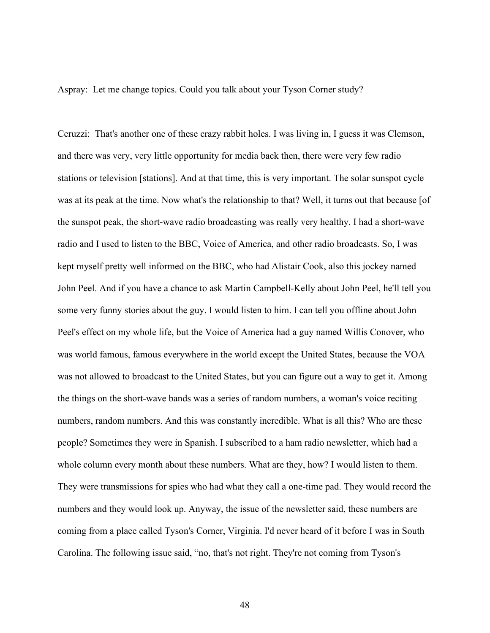Aspray: Let me change topics. Could you talk about your Tyson Corner study?

Ceruzzi: That's another one of these crazy rabbit holes. I was living in, I guess it was Clemson, and there was very, very little opportunity for media back then, there were very few radio stations or television [stations]. And at that time, this is very important. The solar sunspot cycle was at its peak at the time. Now what's the relationship to that? Well, it turns out that because [of the sunspot peak, the short-wave radio broadcasting was really very healthy. I had a short-wave radio and I used to listen to the BBC, Voice of America, and other radio broadcasts. So, I was kept myself pretty well informed on the BBC, who had Alistair Cook, also this jockey named John Peel. And if you have a chance to ask Martin Campbell-Kelly about John Peel, he'll tell you some very funny stories about the guy. I would listen to him. I can tell you offline about John Peel's effect on my whole life, but the Voice of America had a guy named Willis Conover, who was world famous, famous everywhere in the world except the United States, because the VOA was not allowed to broadcast to the United States, but you can figure out a way to get it. Among the things on the short-wave bands was a series of random numbers, a woman's voice reciting numbers, random numbers. And this was constantly incredible. What is all this? Who are these people? Sometimes they were in Spanish. I subscribed to a ham radio newsletter, which had a whole column every month about these numbers. What are they, how? I would listen to them. They were transmissions for spies who had what they call a one-time pad. They would record the numbers and they would look up. Anyway, the issue of the newsletter said, these numbers are coming from a place called Tyson's Corner, Virginia. I'd never heard of it before I was in South Carolina. The following issue said, "no, that's not right. They're not coming from Tyson's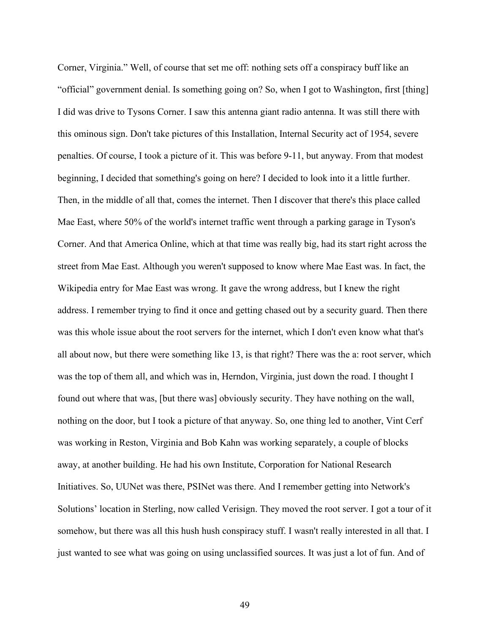Corner, Virginia." Well, of course that set me off: nothing sets off a conspiracy buff like an "official" government denial. Is something going on? So, when I got to Washington, first [thing] I did was drive to Tysons Corner. I saw this antenna giant radio antenna. It was still there with this ominous sign. Don't take pictures of this Installation, Internal Security act of 1954, severe penalties. Of course, I took a picture of it. This was before 9-11, but anyway. From that modest beginning, I decided that something's going on here? I decided to look into it a little further. Then, in the middle of all that, comes the internet. Then I discover that there's this place called Mae East, where 50% of the world's internet traffic went through a parking garage in Tyson's Corner. And that America Online, which at that time was really big, had its start right across the street from Mae East. Although you weren't supposed to know where Mae East was. In fact, the Wikipedia entry for Mae East was wrong. It gave the wrong address, but I knew the right address. I remember trying to find it once and getting chased out by a security guard. Then there was this whole issue about the root servers for the internet, which I don't even know what that's all about now, but there were something like 13, is that right? There was the a: root server, which was the top of them all, and which was in, Herndon, Virginia, just down the road. I thought I found out where that was, [but there was] obviously security. They have nothing on the wall, nothing on the door, but I took a picture of that anyway. So, one thing led to another, Vint Cerf was working in Reston, Virginia and Bob Kahn was working separately, a couple of blocks away, at another building. He had his own Institute, Corporation for National Research Initiatives. So, UUNet was there, PSINet was there. And I remember getting into Network's Solutions' location in Sterling, now called Verisign. They moved the root server. I got a tour of it somehow, but there was all this hush hush conspiracy stuff. I wasn't really interested in all that. I just wanted to see what was going on using unclassified sources. It was just a lot of fun. And of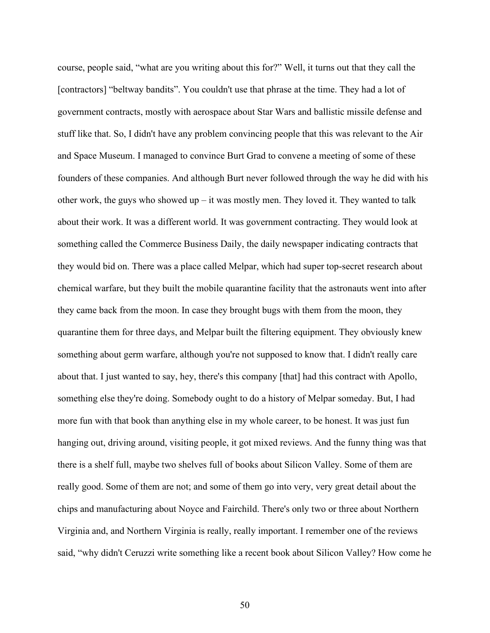course, people said, "what are you writing about this for?" Well, it turns out that they call the [contractors] "beltway bandits". You couldn't use that phrase at the time. They had a lot of government contracts, mostly with aerospace about Star Wars and ballistic missile defense and stuff like that. So, I didn't have any problem convincing people that this was relevant to the Air and Space Museum. I managed to convince Burt Grad to convene a meeting of some of these founders of these companies. And although Burt never followed through the way he did with his other work, the guys who showed up – it was mostly men. They loved it. They wanted to talk about their work. It was a different world. It was government contracting. They would look at something called the Commerce Business Daily, the daily newspaper indicating contracts that they would bid on. There was a place called Melpar, which had super top-secret research about chemical warfare, but they built the mobile quarantine facility that the astronauts went into after they came back from the moon. In case they brought bugs with them from the moon, they quarantine them for three days, and Melpar built the filtering equipment. They obviously knew something about germ warfare, although you're not supposed to know that. I didn't really care about that. I just wanted to say, hey, there's this company [that] had this contract with Apollo, something else they're doing. Somebody ought to do a history of Melpar someday. But, I had more fun with that book than anything else in my whole career, to be honest. It was just fun hanging out, driving around, visiting people, it got mixed reviews. And the funny thing was that there is a shelf full, maybe two shelves full of books about Silicon Valley. Some of them are really good. Some of them are not; and some of them go into very, very great detail about the chips and manufacturing about Noyce and Fairchild. There's only two or three about Northern Virginia and, and Northern Virginia is really, really important. I remember one of the reviews said, "why didn't Ceruzzi write something like a recent book about Silicon Valley? How come he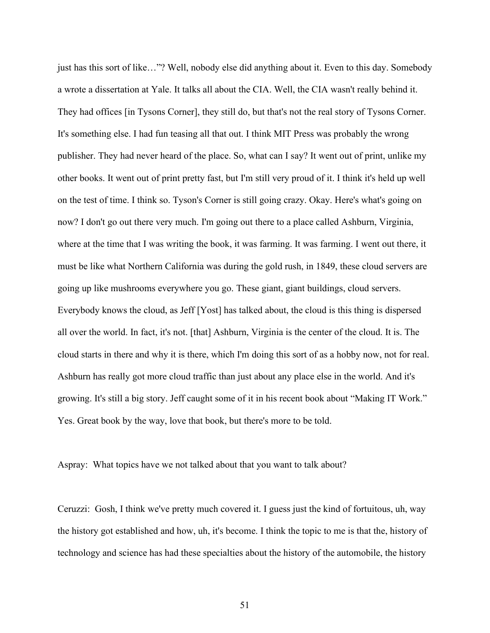just has this sort of like…"? Well, nobody else did anything about it. Even to this day. Somebody a wrote a dissertation at Yale. It talks all about the CIA. Well, the CIA wasn't really behind it. They had offices [in Tysons Corner], they still do, but that's not the real story of Tysons Corner. It's something else. I had fun teasing all that out. I think MIT Press was probably the wrong publisher. They had never heard of the place. So, what can I say? It went out of print, unlike my other books. It went out of print pretty fast, but I'm still very proud of it. I think it's held up well on the test of time. I think so. Tyson's Corner is still going crazy. Okay. Here's what's going on now? I don't go out there very much. I'm going out there to a place called Ashburn, Virginia, where at the time that I was writing the book, it was farming. It was farming. I went out there, it must be like what Northern California was during the gold rush, in 1849, these cloud servers are going up like mushrooms everywhere you go. These giant, giant buildings, cloud servers. Everybody knows the cloud, as Jeff [Yost] has talked about, the cloud is this thing is dispersed all over the world. In fact, it's not. [that] Ashburn, Virginia is the center of the cloud. It is. The cloud starts in there and why it is there, which I'm doing this sort of as a hobby now, not for real. Ashburn has really got more cloud traffic than just about any place else in the world. And it's growing. It's still a big story. Jeff caught some of it in his recent book about "Making IT Work." Yes. Great book by the way, love that book, but there's more to be told.

Aspray: What topics have we not talked about that you want to talk about?

Ceruzzi: Gosh, I think we've pretty much covered it. I guess just the kind of fortuitous, uh, way the history got established and how, uh, it's become. I think the topic to me is that the, history of technology and science has had these specialties about the history of the automobile, the history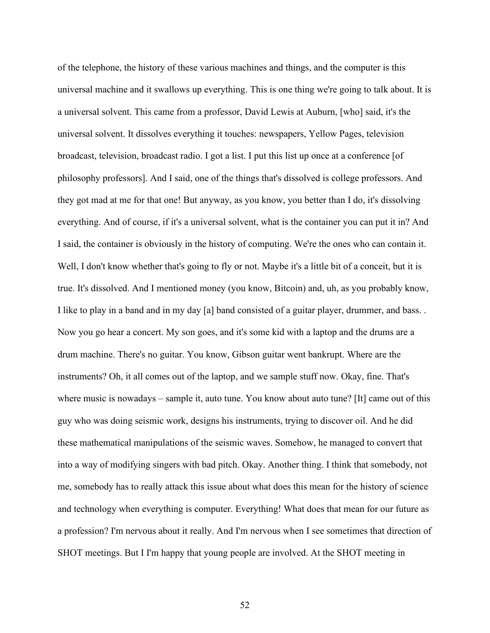of the telephone, the history of these various machines and things, and the computer is this universal machine and it swallows up everything. This is one thing we're going to talk about. It is a universal solvent. This came from a professor, David Lewis at Auburn, [who] said, it's the universal solvent. It dissolves everything it touches: newspapers, Yellow Pages, television broadcast, television, broadcast radio. I got a list. I put this list up once at a conference [of philosophy professors]. And I said, one of the things that's dissolved is college professors. And they got mad at me for that one! But anyway, as you know, you better than I do, it's dissolving everything. And of course, if it's a universal solvent, what is the container you can put it in? And I said, the container is obviously in the history of computing. We're the ones who can contain it. Well, I don't know whether that's going to fly or not. Maybe it's a little bit of a conceit, but it is true. It's dissolved. And I mentioned money (you know, Bitcoin) and, uh, as you probably know, I like to play in a band and in my day [a] band consisted of a guitar player, drummer, and bass. . Now you go hear a concert. My son goes, and it's some kid with a laptop and the drums are a drum machine. There's no guitar. You know, Gibson guitar went bankrupt. Where are the instruments? Oh, it all comes out of the laptop, and we sample stuff now. Okay, fine. That's where music is nowadays – sample it, auto tune. You know about auto tune? [It] came out of this guy who was doing seismic work, designs his instruments, trying to discover oil. And he did these mathematical manipulations of the seismic waves. Somehow, he managed to convert that into a way of modifying singers with bad pitch. Okay. Another thing. I think that somebody, not me, somebody has to really attack this issue about what does this mean for the history of science and technology when everything is computer. Everything! What does that mean for our future as a profession? I'm nervous about it really. And I'm nervous when I see sometimes that direction of SHOT meetings. But I I'm happy that young people are involved. At the SHOT meeting in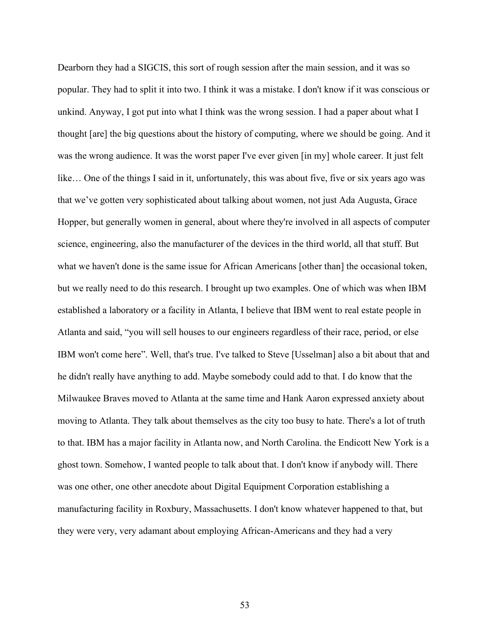Dearborn they had a SIGCIS, this sort of rough session after the main session, and it was so popular. They had to split it into two. I think it was a mistake. I don't know if it was conscious or unkind. Anyway, I got put into what I think was the wrong session. I had a paper about what I thought [are] the big questions about the history of computing, where we should be going. And it was the wrong audience. It was the worst paper I've ever given [in my] whole career. It just felt like… One of the things I said in it, unfortunately, this was about five, five or six years ago was that we've gotten very sophisticated about talking about women, not just Ada Augusta, Grace Hopper, but generally women in general, about where they're involved in all aspects of computer science, engineering, also the manufacturer of the devices in the third world, all that stuff. But what we haven't done is the same issue for African Americans [other than] the occasional token, but we really need to do this research. I brought up two examples. One of which was when IBM established a laboratory or a facility in Atlanta, I believe that IBM went to real estate people in Atlanta and said, "you will sell houses to our engineers regardless of their race, period, or else IBM won't come here". Well, that's true. I've talked to Steve [Usselman] also a bit about that and he didn't really have anything to add. Maybe somebody could add to that. I do know that the Milwaukee Braves moved to Atlanta at the same time and Hank Aaron expressed anxiety about moving to Atlanta. They talk about themselves as the city too busy to hate. There's a lot of truth to that. IBM has a major facility in Atlanta now, and North Carolina. the Endicott New York is a ghost town. Somehow, I wanted people to talk about that. I don't know if anybody will. There was one other, one other anecdote about Digital Equipment Corporation establishing a manufacturing facility in Roxbury, Massachusetts. I don't know whatever happened to that, but they were very, very adamant about employing African-Americans and they had a very